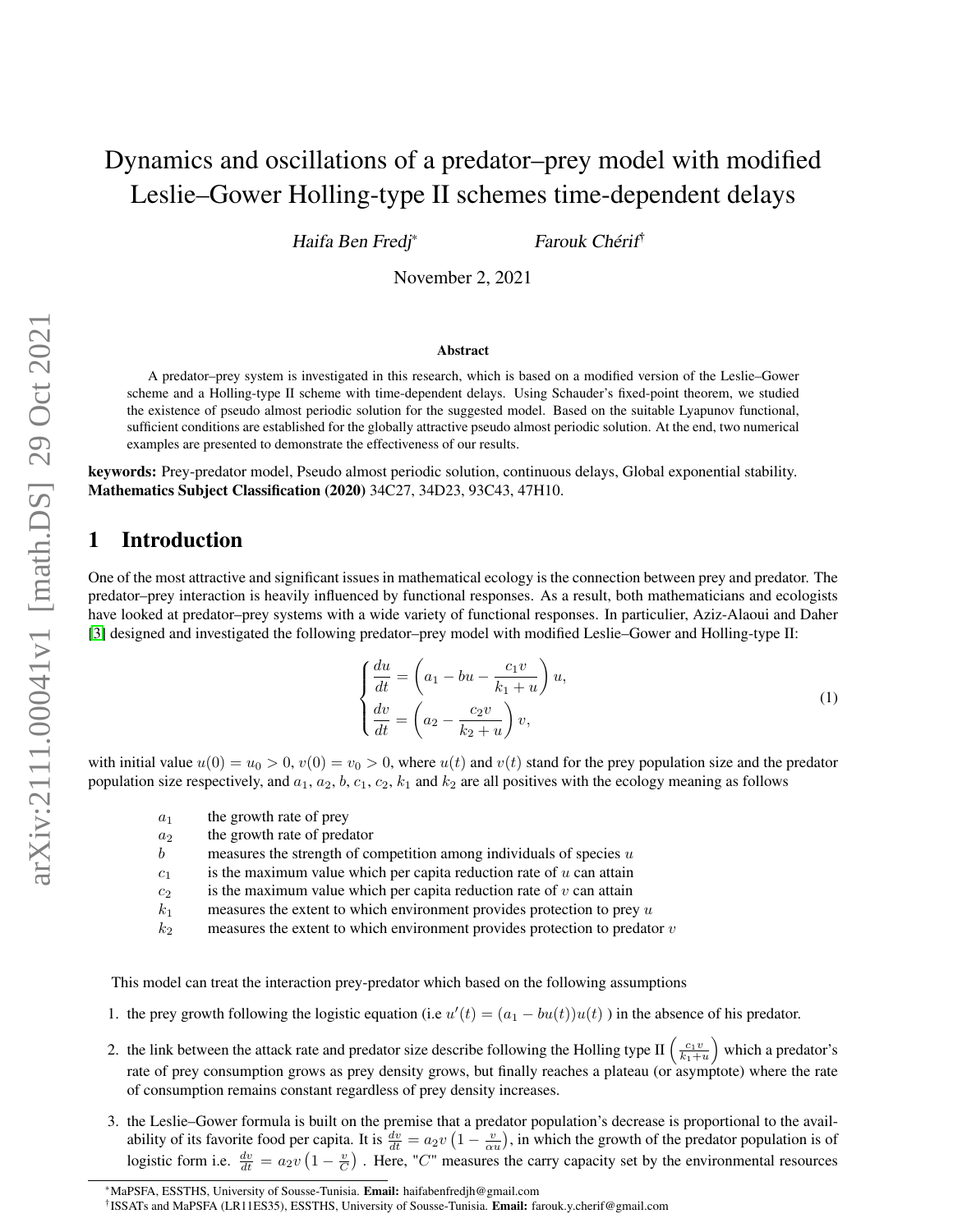# Dynamics and oscillations of a predator–prey model with modified Leslie–Gower Holling-type II schemes time-dependent delays

Haifa Ben Fredj\* Farouk Chérif†

November 2, 2021

#### Abstract

A predator–prey system is investigated in this research, which is based on a modified version of the Leslie–Gower scheme and a Holling-type II scheme with time-dependent delays. Using Schauder's fixed-point theorem, we studied the existence of pseudo almost periodic solution for the suggested model. Based on the suitable Lyapunov functional, sufficient conditions are established for the globally attractive pseudo almost periodic solution. At the end, two numerical examples are presented to demonstrate the effectiveness of our results.

keywords: Prey-predator model, Pseudo almost periodic solution, continuous delays, Global exponential stability. Mathematics Subject Classification (2020) 34C27, 34D23, 93C43, 47H10.

## 1 Introduction

One of the most attractive and significant issues in mathematical ecology is the connection between prey and predator. The predator–prey interaction is heavily influenced by functional responses. As a result, both mathematicians and ecologists have looked at predator–prey systems with a wide variety of functional responses. In particulier, Aziz-Alaoui and Daher [\[3\]](#page-17-0) designed and investigated the following predator–prey model with modified Leslie–Gower and Holling-type II:

$$
\begin{cases}\n\frac{du}{dt} = \left(a_1 - bu - \frac{c_1v}{k_1+u}\right)u, \\
\frac{dv}{dt} = \left(a_2 - \frac{c_2v}{k_2+u}\right)v,\n\end{cases}
$$
\n(1)

with initial value  $u(0) = u_0 > 0$ ,  $v(0) = v_0 > 0$ , where  $u(t)$  and  $v(t)$  stand for the prey population size and the predator population size respectively, and  $a_1$ ,  $a_2$ ,  $b$ ,  $c_1$ ,  $c_2$ ,  $k_1$  and  $k_2$  are all positives with the ecology meaning as follows

- $a_1$  the growth rate of prey
- $a_2$  the growth rate of predator
- b measures the strength of competition among individuals of species  $u$
- $c_1$  is the maximum value which per capita reduction rate of u can attain
- $c_2$  is the maximum value which per capita reduction rate of v can attain
- $k_1$  measures the extent to which environment provides protection to prey u
- $k_2$  measures the extent to which environment provides protection to predator v

This model can treat the interaction prey-predator which based on the following assumptions

- 1. the prey growth following the logistic equation (i.e  $u'(t) = (a_1 bu(t))u(t)$ ) in the absence of his predator.
- 2. the link between the attack rate and predator size describe following the Holling type II  $\left(\frac{c_1v}{k_1+u}\right)$  which a predator's rate of prey consumption grows as prey density grows, but finally reaches a plateau (or asymptote) where the rate of consumption remains constant regardless of prey density increases.
- 3. the Leslie–Gower formula is built on the premise that a predator population's decrease is proportional to the availability of its favorite food per capita. It is  $\frac{dv}{dt} = a_2v(1 - \frac{v}{\alpha u})$ , in which the growth of the predator population is of logistic form i.e.  $\frac{dv}{dt} = a_2v(1 - \frac{v}{C})$ . Here, "C" measures the carry capacity set by the environmental resources

<sup>\*</sup>MaPSFA, ESSTHS, University of Sousse-Tunisia. Email: haifabenfredjh@gmail.com

<sup>&</sup>lt;sup>†</sup> ISSATs and MaPSFA (LR11ES35), ESSTHS, University of Sousse-Tunisia. Email: farouk.y.cherif@gmail.com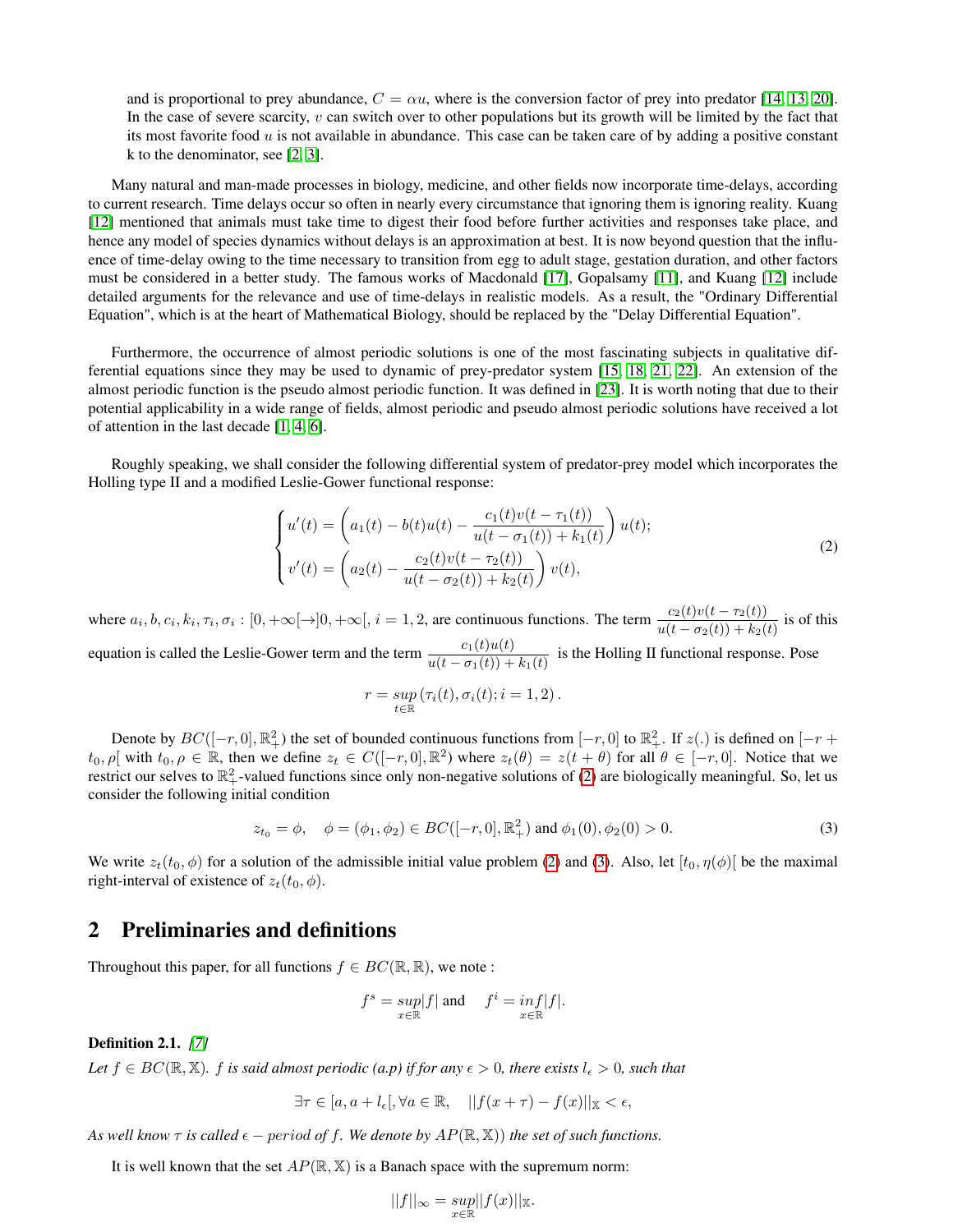and is proportional to prey abundance,  $C = \alpha u$ , where is the conversion factor of prey into predator [\[14,](#page-17-1) [13,](#page-17-2) [20\]](#page-17-3). In the case of severe scarcity, v can switch over to other populations but its growth will be limited by the fact that its most favorite food  $u$  is not available in abundance. This case can be taken care of by adding a positive constant k to the denominator, see [\[2,](#page-17-4) [3\]](#page-17-0).

Many natural and man-made processes in biology, medicine, and other fields now incorporate time-delays, according to current research. Time delays occur so often in nearly every circumstance that ignoring them is ignoring reality. Kuang [\[12\]](#page-17-5) mentioned that animals must take time to digest their food before further activities and responses take place, and hence any model of species dynamics without delays is an approximation at best. It is now beyond question that the influence of time-delay owing to the time necessary to transition from egg to adult stage, gestation duration, and other factors must be considered in a better study. The famous works of Macdonald [\[17\]](#page-17-6), Gopalsamy [\[11\]](#page-17-7), and Kuang [\[12\]](#page-17-5) include detailed arguments for the relevance and use of time-delays in realistic models. As a result, the "Ordinary Differential Equation", which is at the heart of Mathematical Biology, should be replaced by the "Delay Differential Equation".

Furthermore, the occurrence of almost periodic solutions is one of the most fascinating subjects in qualitative differential equations since they may be used to dynamic of prey-predator system [\[15,](#page-17-8) [18,](#page-17-9) [21,](#page-18-0) [22\]](#page-18-1). An extension of the almost periodic function is the pseudo almost periodic function. It was defined in [\[23\]](#page-18-2). It is worth noting that due to their potential applicability in a wide range of fields, almost periodic and pseudo almost periodic solutions have received a lot of attention in the last decade [\[1,](#page-17-10) [4,](#page-17-11) [6\]](#page-17-12).

Roughly speaking, we shall consider the following differential system of predator-prey model which incorporates the Holling type II and a modified Leslie-Gower functional response:

<span id="page-1-0"></span>
$$
\begin{cases}\nu'(t) = \left(a_1(t) - b(t)u(t) - \frac{c_1(t)v(t - \tau_1(t))}{u(t - \sigma_1(t)) + k_1(t)}\right)u(t); \\
v'(t) = \left(a_2(t) - \frac{c_2(t)v(t - \tau_2(t))}{u(t - \sigma_2(t)) + k_2(t)}\right)v(t),\n\end{cases} \tag{2}
$$

where  $a_i, b, c_i, k_i, \tau_i, \sigma_i : [0, +\infty[\to]0, +\infty[, i = 1, 2$ , are continuous functions. The term  $\frac{c_2(t)v(t - \tau_2(t))}{u(t - \sigma_2(t)) + k_2(t)}$  is of this equation is called the Leslie-Gower term and the term  $\frac{c_1(t)u(t)}{u(t-\sigma_1(t))+k_1(t)}$  is the Holling II functional response. Pose

$$
r = \sup_{t \in \mathbb{R}} (\tau_i(t), \sigma_i(t); i = 1, 2).
$$

Denote by  $BC([-r, 0], \mathbb{R}^2_+)$  the set of bounded continuous functions from  $[-r, 0]$  to  $\mathbb{R}^2_+$ . If  $z(.)$  is defined on  $[-r + 1]$  $t_0, \rho$  with  $t_0, \rho \in \mathbb{R}$ , then we define  $z_t \in C([-r, 0], \mathbb{R}^2)$  where  $z_t(\theta) = z(t + \theta)$  for all  $\theta \in [-r, 0]$ . Notice that we restrict our selves to  $\mathbb{R}^2_+$ -valued functions since only non-negative solutions of [\(2\)](#page-1-0) are biologically meaningful. So, let us consider the following initial condition

<span id="page-1-1"></span>
$$
z_{t_0} = \phi, \quad \phi = (\phi_1, \phi_2) \in BC([-r, 0], \mathbb{R}^2_+) \text{ and } \phi_1(0), \phi_2(0) > 0. \tag{3}
$$

We write  $z_t(t_0, \phi)$  for a solution of the admissible initial value problem [\(2\)](#page-1-0) and [\(3\)](#page-1-1). Also, let  $[t_0, \eta(\phi)]$  be the maximal right-interval of existence of  $z_t(t_0, \phi)$ .

## 2 Preliminaries and definitions

Throughout this paper, for all functions  $f \in BC(\mathbb{R}, \mathbb{R})$ , we note :

$$
f^s = \sup_{x \in \mathbb{R}} |f| \text{ and } f^i = \inf_{x \in \mathbb{R}} |f|.
$$

Definition 2.1. *[\[7\]](#page-17-13)*

*Let*  $f \in BC(\mathbb{R}, \mathbb{X})$ *. f is said almost periodic (a.p) if for any*  $\epsilon > 0$ *, there exists*  $l_{\epsilon} > 0$ *, such that* 

$$
\exists \tau \in [a, a + l_{\epsilon}], \forall a \in \mathbb{R}, \quad ||f(x + \tau) - f(x)||_{\mathbb{X}} < \epsilon,
$$

*As well know*  $\tau$  *is called*  $\epsilon$  – period of f. We denote by  $AP(\mathbb{R}, \mathbb{X})$  *the set of such functions.* 

It is well known that the set  $AP(\mathbb{R}, \mathbb{X})$  is a Banach space with the supremum norm:

$$
||f||_{\infty} = \sup_{x \in \mathbb{R}} ||f(x)||_{\mathbb{X}}.
$$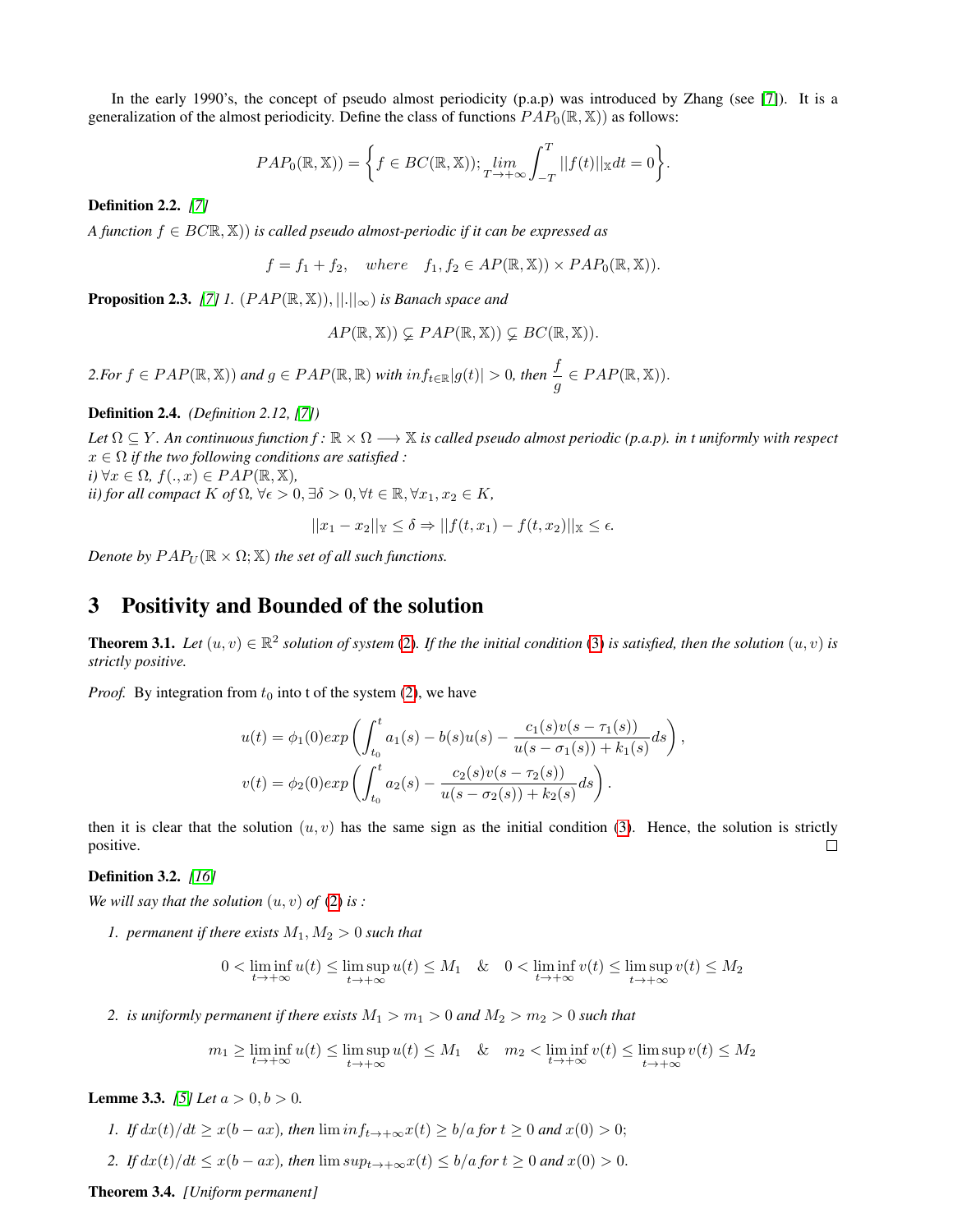In the early 1990's, the concept of pseudo almost periodicity (p.a.p) was introduced by Zhang (see [\[7\]](#page-17-13)). It is a generalization of the almost periodicity. Define the class of functions  $PAP_0(\mathbb{R}, \mathbb{X})$  as follows:

$$
PAP_0(\mathbb{R}, \mathbb{X})) = \bigg\{ f \in BC(\mathbb{R}, \mathbb{X})); \lim_{T \to +\infty} \int_{-T}^{T} ||f(t)||_{\mathbb{X}} dt = 0 \bigg\}.
$$

Definition 2.2. *[\[7\]](#page-17-13)*

*A function* f ∈ BCR, X)) *is called pseudo almost-periodic if it can be expressed as*

$$
f = f_1 + f_2
$$
, where  $f_1, f_2 \in AP(\mathbb{R}, \mathbb{X}) \times PAP_0(\mathbb{R}, \mathbb{X})$ ).

**Proposition 2.3.** [\[7\]](#page-17-13) *1.*  $(PAP(\mathbb{R}, \mathbb{X}))$ ,  $||.||_{\infty}$  *is Banach space and* 

$$
AP(\mathbb{R}, \mathbb{X})) \subsetneq PAP(\mathbb{R}, \mathbb{X})) \subsetneq BC(\mathbb{R}, \mathbb{X})).
$$

 $2.$  *For*  $f \in PAP(\mathbb{R}, \mathbb{X})$  *and*  $g \in PAP(\mathbb{R}, \mathbb{R})$  *with*  $inf_{t \in \mathbb{R}} |g(t)| > 0$ , then  $\frac{f}{g} \in PAP(\mathbb{R}, \mathbb{X})$ .

Definition 2.4. *(Definition 2.12, [\[7\]](#page-17-13))*

Let  $\Omega \subset Y$ . An continuous function  $f: \mathbb{R} \times \Omega \longrightarrow \mathbb{X}$  is called pseudo almost periodic (p.a.p), in t uniformly with respect x ∈ Ω *if the two following conditions are satisfied :*  $i)$   $\forall x \in \Omega$ ,  $f(.,x) \in PAP(\mathbb{R}, \mathbb{X})$ ,

*ii) for all compact*  $K$  *of*  $\Omega$ ,  $\forall \epsilon > 0$ ,  $\exists \delta > 0$ ,  $\forall t \in \mathbb{R}$ ,  $\forall x_1, x_2 \in K$ ,

$$
||x_1 - x_2||_Y \le \delta \Rightarrow ||f(t, x_1) - f(t, x_2)||_X \le \epsilon.
$$

*Denote by*  $PAP_U(\mathbb{R} \times \Omega; \mathbb{X})$  *the set of all such functions.* 

### 3 Positivity and Bounded of the solution

**Theorem 3.1.** Let  $(u, v) \in \mathbb{R}^2$  solution of system [\(2\)](#page-1-0). If the the initial condition [\(3\)](#page-1-1) is satisfied, then the solution  $(u, v)$  is *strictly positive.*

*Proof.* By integration from  $t_0$  into t of the system [\(2\)](#page-1-0), we have

$$
u(t) = \phi_1(0) exp \left( \int_{t_0}^t a_1(s) - b(s)u(s) - \frac{c_1(s)v(s - \tau_1(s))}{u(s - \sigma_1(s)) + k_1(s)} ds \right),
$$
  

$$
v(t) = \phi_2(0) exp \left( \int_{t_0}^t a_2(s) - \frac{c_2(s)v(s - \tau_2(s))}{u(s - \sigma_2(s)) + k_2(s)} ds \right).
$$

then it is clear that the solution  $(u, v)$  has the same sign as the initial condition [\(3\)](#page-1-1). Hence, the solution is strictly positive.  $\Box$ 

#### Definition 3.2. *[\[16\]](#page-17-14)*

*We will say that the solution*  $(u, v)$  *of*  $(2)$  *is :* 

*1. permanent if there exists*  $M_1, M_2 > 0$  *such that* 

$$
0 < \liminf_{t \to +\infty} u(t) \le \limsup_{t \to +\infty} u(t) \le M_1 \quad \& \quad 0 < \liminf_{t \to +\infty} v(t) \le \limsup_{t \to +\infty} v(t) \le M_2
$$

*2. is uniformly permanent if there exists*  $M_1 > m_1 > 0$  *and*  $M_2 > m_2 > 0$  *such that* 

$$
m_1 \ge \liminf_{t \to +\infty} u(t) \le \limsup_{t \to +\infty} u(t) \le M_1 \quad \& \quad m_2 < \liminf_{t \to +\infty} v(t) \le \limsup_{t \to +\infty} v(t) \le M_2
$$

<span id="page-2-0"></span>**Lemme 3.3.** *[\[5\]](#page-17-15) Let*  $a > 0, b > 0$ *.* 

- *1. If*  $dx(t)/dt \ge x(b ax)$ *, then*  $\liminf_{t \to +\infty} x(t) \ge b/a$  *for*  $t \ge 0$  *and*  $x(0) > 0$ ;
- 2. If  $dx(t)/dt \leq x(b ax)$ , then  $\limsup_{t\to+\infty}x(t) \leq b/a$  *for*  $t \geq 0$  *and*  $x(0) > 0$ .

<span id="page-2-1"></span>Theorem 3.4. *[Uniform permanent]*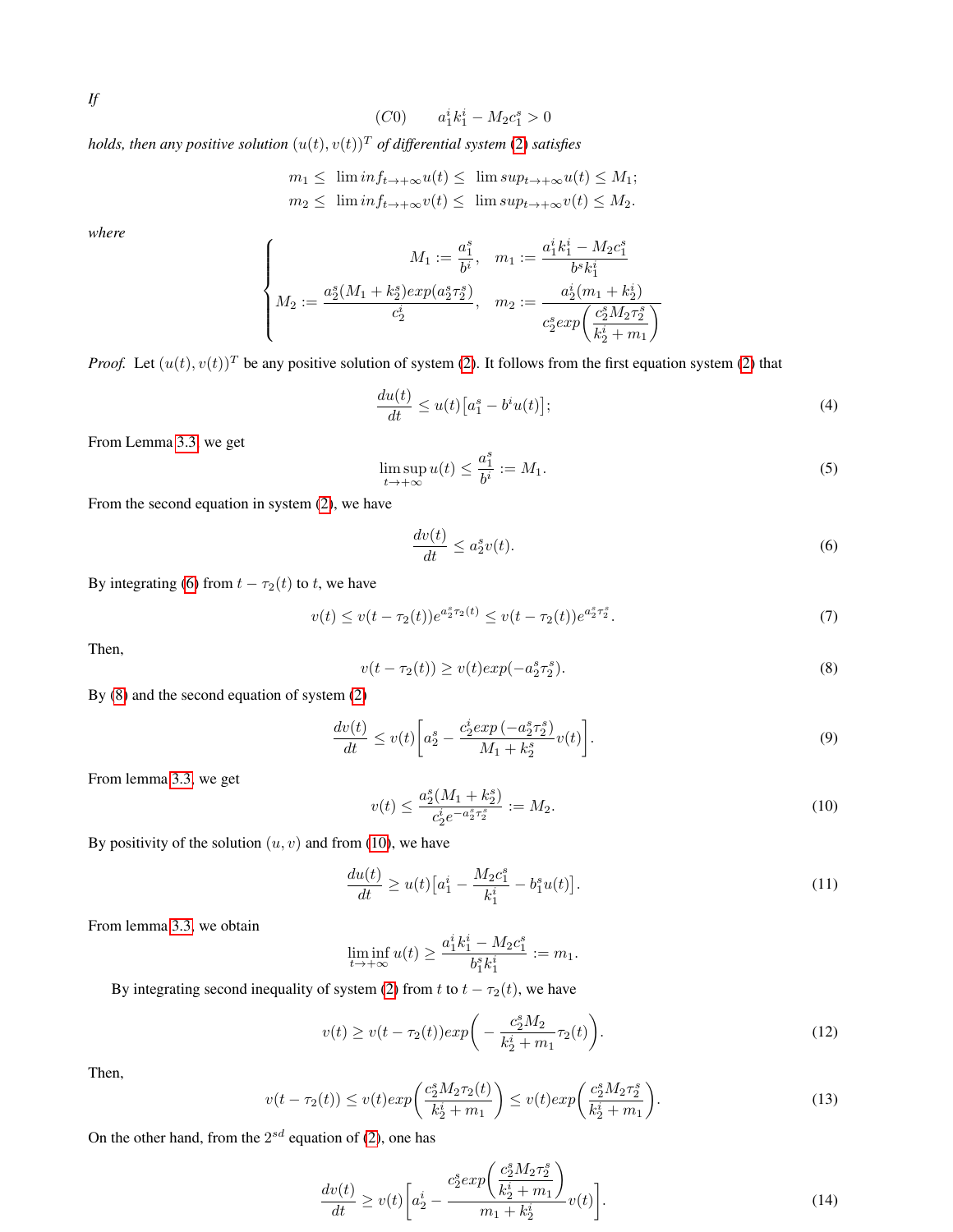$$
If
$$

(C0) 
$$
a_1^i k_1^i - M_2 c_1^s > 0
$$

*holds, then any positive solution*  $(u(t), v(t))^T$  *of differential system* [\(2\)](#page-1-0) *satisfies* 

$$
m_1 \leq \liminf_{t \to +\infty} u(t) \leq \limsup_{t \to +\infty} u(t) \leq M_1;
$$
  

$$
m_2 \leq \liminf_{t \to +\infty} v(t) \leq \limsup_{t \to +\infty} v(t) \leq M_2.
$$

*where*

$$
\left\{\begin{matrix}M_1:=\frac{a_1^s}{b^i}, & m_1:=\frac{a_1^ik_1^i-M_2c_1^s}{b^sk_1^i}\\ M_2:=\frac{a_2^s(M_1+k_2^s)exp(a_2^s\tau_2^s)}{c_2^i}, & m_2:=\frac{a_2^i(m_1+k_2^i)}{c_2^sexp\bigg(\frac{c_2^sM_2\tau_2^s}{k_2^i+m_1}\bigg)}\end{matrix}\right.
$$

*Proof.* Let  $(u(t), v(t))^T$  be any positive solution of system [\(2\)](#page-1-0). It follows from the first equation system (2) that

$$
\frac{du(t)}{dt} \le u(t)\left[a_1^s - b^i u(t)\right];\tag{4}
$$

From Lemma [3.3,](#page-2-0) we get

<span id="page-3-0"></span>
$$
\limsup_{t \to +\infty} u(t) \le \frac{a_1^s}{b^i} := M_1. \tag{5}
$$

From the second equation in system [\(2\)](#page-1-0), we have

$$
\frac{dv(t)}{dt} \le a_2^s v(t). \tag{6}
$$

By integrating [\(6\)](#page-3-0) from  $t - \tau_2(t)$  to t, we have

$$
v(t) \le v(t - \tau_2(t))e^{a_2^s \tau_2(t)} \le v(t - \tau_2(t))e^{a_2^s \tau_2^s}.
$$
\n<sup>(7)</sup>

<span id="page-3-1"></span>Then,

<span id="page-3-3"></span>
$$
v(t - \tau_2(t)) \ge v(t)exp(-a_2^s \tau_2^s). \tag{8}
$$

By [\(8\)](#page-3-1) and the second equation of system [\(2\)](#page-1-0)

<span id="page-3-2"></span>
$$
\frac{dv(t)}{dt} \le v(t) \left[ a_2^s - \frac{c_2^i exp\left(-a_2^s \tau_2^s\right)}{M_1 + k_2^s} v(t) \right].\tag{9}
$$

From lemma [3.3,](#page-2-0) we get

<span id="page-3-4"></span>
$$
v(t) \le \frac{a_2^s (M_1 + k_2^s)}{c_2^i e^{-a_2^s \tau_2^s}} := M_2. \tag{10}
$$

By positivity of the solution  $(u, v)$  and from [\(10\)](#page-3-2), we have

$$
\frac{du(t)}{dt} \ge u(t)\left[a_1^i - \frac{M_2c_1^s}{k_1^i} - b_1^su(t)\right].\tag{11}
$$

From lemma [3.3,](#page-2-0) we obtain

$$
\liminf_{t\to+\infty}u(t)\geq \frac{a_1^ik_1^i-M_2c_1^s}{b_1^sk_1^i}:=m_1.
$$

By integrating second inequality of system [\(2\)](#page-1-0) from t to  $t - \tau_2(t)$ , we have

$$
v(t) \ge v(t - \tau_2(t)) \exp\bigg(-\frac{c_2^s M_2}{k_2^i + m_1} \tau_2(t)\bigg). \tag{12}
$$

Then,

$$
v(t - \tau_2(t)) \le v(t)exp\left(\frac{c_2^s M_2 \tau_2(t)}{k_2^i + m_1}\right) \le v(t)exp\left(\frac{c_2^s M_2 \tau_2^s}{k_2^i + m_1}\right).
$$
 (13)

On the other hand, from the  $2^{sd}$  equation of [\(2\)](#page-1-0), one has

<span id="page-3-5"></span>
$$
\frac{dv(t)}{dt} \ge v(t) \bigg[ a_2^i - \frac{c_2^s exp\left(\frac{c_2^s M_2 \tau_2^s}{k_2^i + m_1}\right)}{m_1 + k_2^i} v(t) \bigg].
$$
\n(14)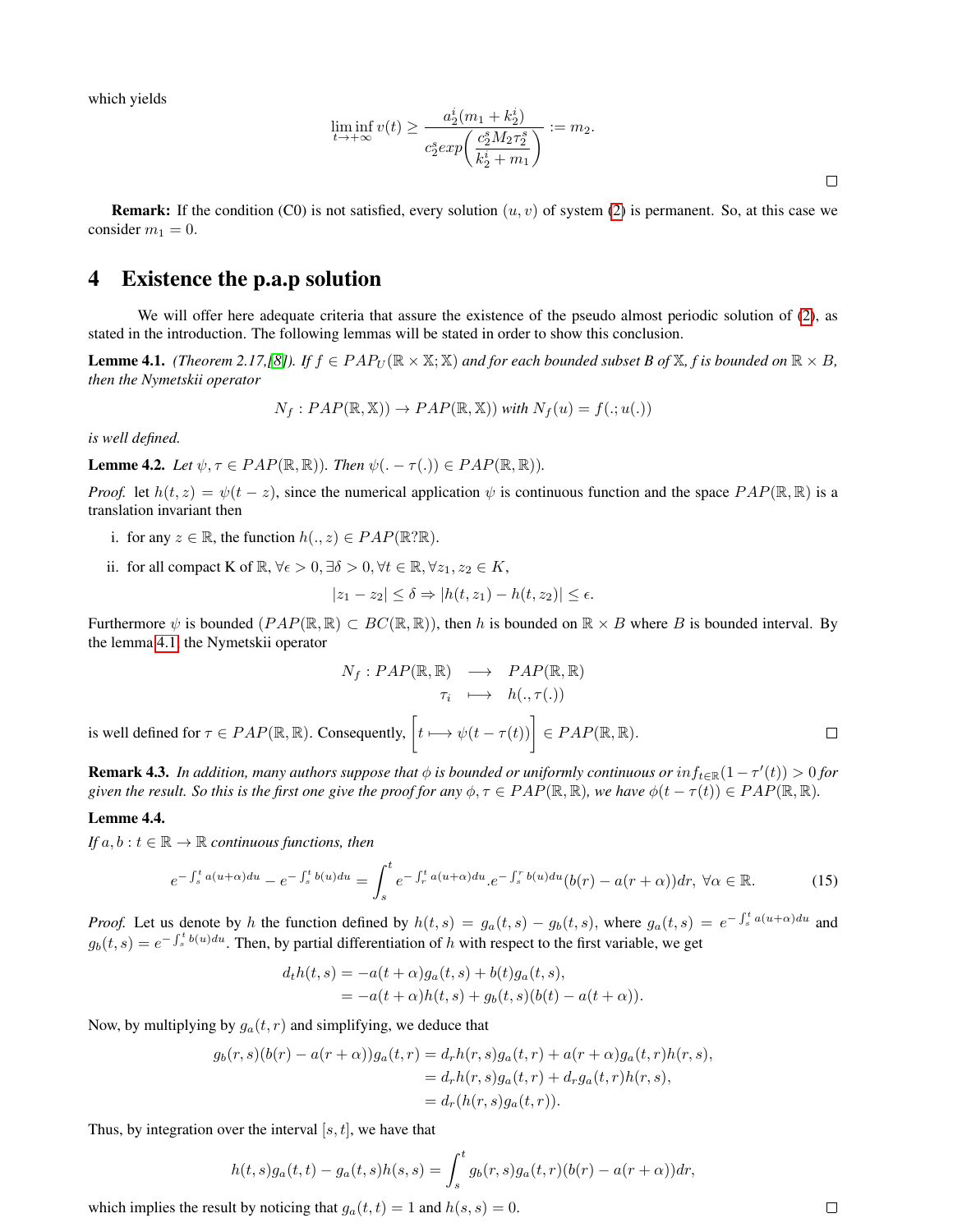which yields

$$
\liminf_{t \to +\infty} v(t) \ge \frac{a_2^i(m_1 + k_2^i)}{c_2^s exp\left(\frac{c_2^s M_2 \tau_2^s}{k_2^i + m_1}\right)} := m_2.
$$

**Remark:** If the condition (C0) is not satisfied, every solution  $(u, v)$  of system [\(2\)](#page-1-0) is permanent. So, at this case we consider  $m_1 = 0$ .

### 4 Existence the p.a.p solution

We will offer here adequate criteria that assure the existence of the pseudo almost periodic solution of [\(2\)](#page-1-0), as stated in the introduction. The following lemmas will be stated in order to show this conclusion.

<span id="page-4-0"></span>**Lemme 4.1.** *(Theorem 2.17,[\[8\]](#page-17-16)).* If  $f \in PAP_U(\mathbb{R} \times \mathbb{X}; \mathbb{X})$  and for each bounded subset B of  $\mathbb{X}$ , f is bounded on  $\mathbb{R} \times B$ , *then the Nymetskii operator*

$$
N_f: PAP(\mathbb{R}, \mathbb{X})) \to PAP(\mathbb{R}, \mathbb{X})) \text{ with } N_f(u) = f(.; u(.))
$$

*is well defined.*

<span id="page-4-2"></span>**Lemme 4.2.** *Let*  $\psi, \tau \in PAP(\mathbb{R}, \mathbb{R})$ *). Then*  $\psi( . - \tau( .) ) \in PAP(\mathbb{R}, \mathbb{R})$ *).* 

*Proof.* let  $h(t, z) = \psi(t - z)$ , since the numerical application  $\psi$  is continuous function and the space  $PAP(\mathbb{R}, \mathbb{R})$  is a translation invariant then

- i. for any  $z \in \mathbb{R}$ , the function  $h(., z) \in PAP(\mathbb{R}?\mathbb{R})$ .
- ii. for all compact K of  $\mathbb{R}, \forall \epsilon > 0, \exists \delta > 0, \forall t \in \mathbb{R}, \forall z_1, z_2 \in K$ ,

$$
|z_1 - z_2| \le \delta \Rightarrow |h(t, z_1) - h(t, z_2)| \le \epsilon.
$$

Furthermore  $\psi$  is bounded  $(PAP(\mathbb{R}, \mathbb{R}) \subset BC(\mathbb{R}, \mathbb{R})$ , then h is bounded on  $\mathbb{R} \times B$  where B is bounded interval. By the lemma [4.1,](#page-4-0) the Nymetskii operator

$$
N_f: PAP(\mathbb{R}, \mathbb{R}) \longrightarrow PAP(\mathbb{R}, \mathbb{R})
$$
  
\n
$$
\tau_i \longmapsto h(., \tau(.))
$$
  
\nis well defined for  $\tau \in PAP(\mathbb{R}, \mathbb{R})$ . Consequently,  $\left[t \longmapsto \psi(t - \tau(t))\right] \in PAP(\mathbb{R}, \mathbb{R})$ .

**Remark 4.3.** In addition, many authors suppose that  $\phi$  is bounded or uniformly continuous or  $inf_{t\in\mathbb{R}}(1-\tau'(t))>0$  for *given the result. So this is the first one give the proof for any*  $\phi, \tau \in PAP(\mathbb{R}, \mathbb{R})$ *, we have*  $\phi(t - \tau(t)) \in PAP(\mathbb{R}, \mathbb{R})$ *.* 

#### <span id="page-4-1"></span>Lemme 4.4.

*If*  $a, b : t \in \mathbb{R} \to \mathbb{R}$  *continuous functions, then* 

$$
e^{-\int_s^t a(u+\alpha)du} - e^{-\int_s^t b(u)du} = \int_s^t e^{-\int_r^t a(u+\alpha)du} \cdot e^{-\int_s^r b(u)du} (b(r) - a(r+\alpha))dr, \,\forall \alpha \in \mathbb{R}.\tag{15}
$$

*Proof.* Let us denote by h the function defined by  $h(t,s) = g_a(t,s) - g_b(t,s)$ , where  $g_a(t,s) = e^{-\int_s^t a(u+\alpha)du}$  and  $g_b(t,s) = e^{-\int_s^t b(u)du}$ . Then, by partial differentiation of h with respect to the first variable, we get

$$
d_t h(t,s) = -a(t+\alpha)g_a(t,s) + b(t)g_a(t,s),
$$
  
=  $-a(t+\alpha)h(t,s) + g_b(t,s)(b(t) - a(t+\alpha)).$ 

Now, by multiplying by  $g_a(t, r)$  and simplifying, we deduce that

$$
g_b(r,s)(b(r) - a(r+\alpha))g_a(t,r) = d_r h(r,s)g_a(t,r) + a(r+\alpha)g_a(t,r)h(r,s),
$$
  
=  $d_r h(r,s)g_a(t,r) + d_r g_a(t,r)h(r,s),$   
=  $d_r (h(r,s)g_a(t,r)).$ 

Thus, by integration over the interval  $[s, t]$ , we have that

$$
h(t,s)g_a(t,t) - g_a(t,s)h(s,s) = \int_s^t g_b(r,s)g_a(t,r)(b(r) - a(r+\alpha))dr,
$$

which implies the result by noticing that  $g_a(t, t) = 1$  and  $h(s, s) = 0$ .

 $\Box$ 

 $\Box$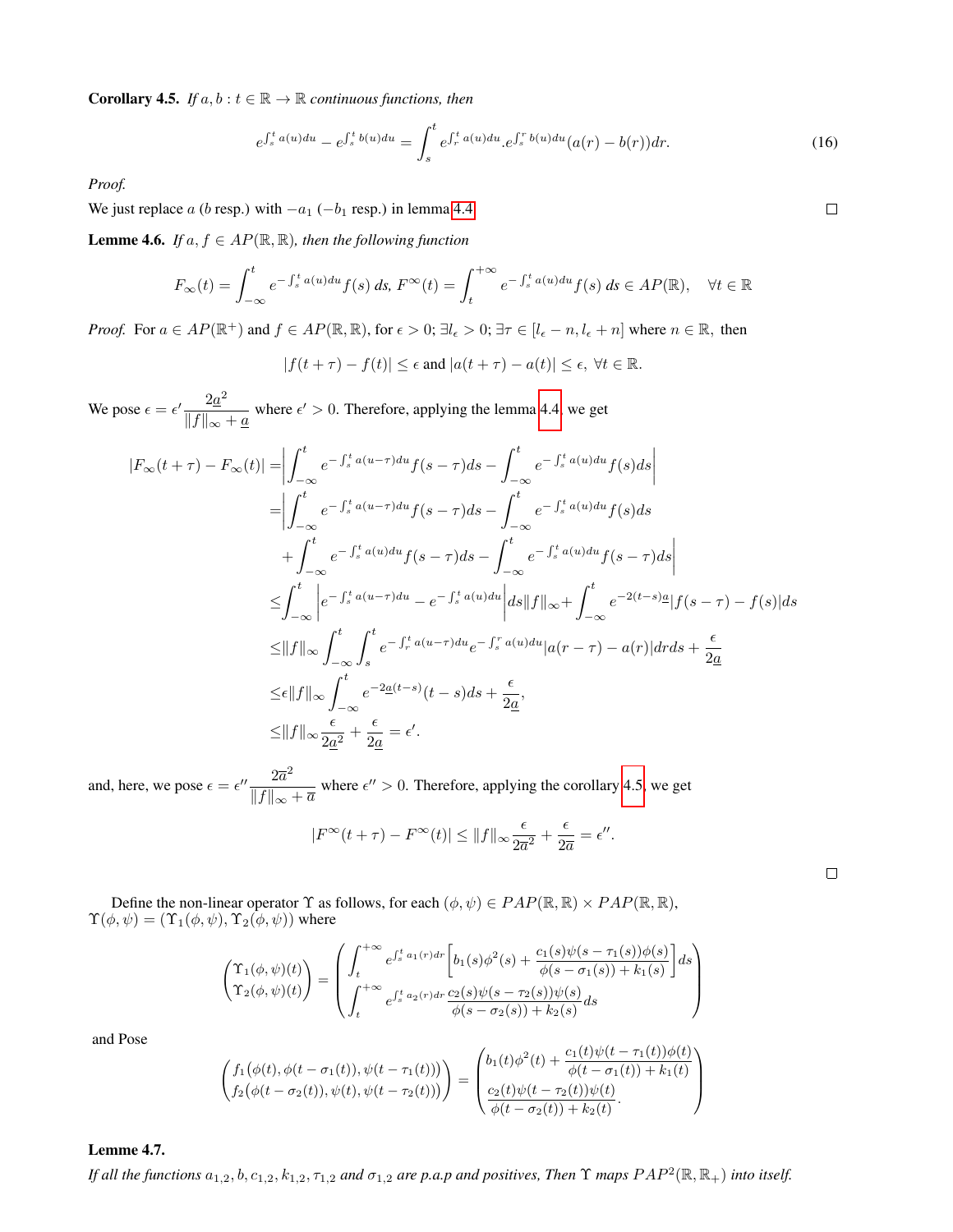<span id="page-5-0"></span>**Corollary 4.5.** *If*  $a, b : t \in \mathbb{R} \to \mathbb{R}$  *continuous functions, then* 

$$
e^{\int_{s}^{t} a(u) du} - e^{\int_{s}^{t} b(u) du} = \int_{s}^{t} e^{\int_{r}^{t} a(u) du} . e^{\int_{s}^{r} b(u) du} (a(r) - b(r)) dr.
$$
 (16)

*Proof.*

We just replace  $a$  ( $b$  resp.) with  $-a_1$  ( $-b_1$  resp.) in lemma [4.4.](#page-4-1)

<span id="page-5-1"></span>**Lemme 4.6.** *If*  $a, f \in AP(\mathbb{R}, \mathbb{R})$ *, then the following function* 

$$
F_{\infty}(t) = \int_{-\infty}^{t} e^{-\int_{s}^{t} a(u) du} f(s) ds, F^{\infty}(t) = \int_{t}^{+\infty} e^{-\int_{s}^{t} a(u) du} f(s) ds \in AP(\mathbb{R}), \quad \forall t \in \mathbb{R}
$$

*Proof.* For  $a \in AP(\mathbb{R}^+)$  and  $f \in AP(\mathbb{R}, \mathbb{R})$ , for  $\epsilon > 0$ ;  $\exists l_{\epsilon} > 0$ ;  $\exists \tau \in [l_{\epsilon} - n, l_{\epsilon} + n]$  where  $n \in \mathbb{R}$ , then

$$
|f(t+\tau)-f(t)| \leq \epsilon \text{ and } |a(t+\tau)-a(t)| \leq \epsilon, \ \forall t \in \mathbb{R}.
$$

We pose  $\epsilon = \epsilon' \frac{2a^2}{\| \epsilon \|}$  $\frac{2a}{\|f\|_{\infty} + a}$  where  $\epsilon' > 0$ . Therefore, applying the lemma [4.4,](#page-4-1) we get

$$
|F_{\infty}(t+\tau) - F_{\infty}(t)| = \left| \int_{-\infty}^{t} e^{-\int_{s}^{t} a(u-\tau) du} f(s-\tau) ds - \int_{-\infty}^{t} e^{-\int_{s}^{t} a(u) du} f(s) ds \right|
$$
  
\n
$$
= \left| \int_{-\infty}^{t} e^{-\int_{s}^{t} a(u-\tau) du} f(s-\tau) ds - \int_{-\infty}^{t} e^{-\int_{s}^{t} a(u) du} f(s) ds
$$
  
\n
$$
+ \int_{-\infty}^{t} e^{-\int_{s}^{t} a(u) du} f(s-\tau) ds - \int_{-\infty}^{t} e^{-\int_{s}^{t} a(u) du} f(s-\tau) ds \right|
$$
  
\n
$$
\leq \int_{-\infty}^{t} \left| e^{-\int_{s}^{t} a(u-\tau) du} - e^{-\int_{s}^{t} a(u) du} \right| ds ||f||_{\infty} + \int_{-\infty}^{t} e^{-2(t-s)a} |f(s-\tau) - f(s)| ds
$$
  
\n
$$
\leq ||f||_{\infty} \int_{-\infty}^{t} \int_{s}^{t} e^{-\int_{r}^{t} a(u-\tau) du} e^{-\int_{s}^{r} a(u) du} |a(r-\tau) - a(r)| dr ds + \frac{\epsilon}{2a}
$$
  
\n
$$
\leq \epsilon ||f||_{\infty} \int_{-\infty}^{t} e^{-2\underline{a}(t-s)} (t-s) ds + \frac{\epsilon}{2\underline{a}},
$$
  
\n
$$
\leq ||f||_{\infty} \frac{\epsilon}{2\underline{a}^2} + \frac{\epsilon}{2\underline{a}} = \epsilon'.
$$

and, here, we pose  $\epsilon = \epsilon'' \frac{2\overline{a}^2}{\| \epsilon \|}$  $\frac{2a}{\|f\|_{\infty} + \overline{a}}$  where  $\epsilon'' > 0$ . Therefore, applying the corollary [4.5,](#page-5-0) we get

$$
|F^{\infty}(t+\tau) - F^{\infty}(t)| \leq ||f||_{\infty} \frac{\epsilon}{2\overline{a}^2} + \frac{\epsilon}{2\overline{a}} = \epsilon''.
$$

Define the non-linear operator  $\Upsilon$  as follows, for each  $(\phi, \psi) \in PAP(\mathbb{R}, \mathbb{R}) \times PAP(\mathbb{R}, \mathbb{R})$ ,  $\Upsilon(\phi, \psi) = (\Upsilon_1(\phi, \psi), \Upsilon_2(\phi, \psi))$  where

$$
\begin{pmatrix}\n\Upsilon_1(\phi,\psi)(t) \\
\Upsilon_2(\phi,\psi)(t)\n\end{pmatrix} = \begin{pmatrix}\n\int_t^{+\infty} e^{\int_s^t a_1(r)dr} \left[ b_1(s)\phi^2(s) + \frac{c_1(s)\psi(s-\tau_1(s))\phi(s)}{\phi(s-\sigma_1(s)) + k_1(s)} \right] ds \\
\int_t^{+\infty} e^{\int_s^t a_2(r)dr} \frac{c_2(s)\psi(s-\tau_2(s))\psi(s)}{\phi(s-\sigma_2(s)) + k_2(s)} ds\n\end{pmatrix}
$$

and Pose

$$
\begin{pmatrix} f_1(\phi(t), \phi(t-\sigma_1(t)), \psi(t-\tau_1(t))) \\ f_2(\phi(t-\sigma_2(t)), \psi(t), \psi(t-\tau_2(t))) \end{pmatrix} = \begin{pmatrix} b_1(t)\phi^2(t) + \frac{c_1(t)\psi(t-\tau_1(t))\phi(t)}{\phi(t-\sigma_1(t)) + k_1(t)} \\ \frac{c_2(t)\psi(t-\tau_2(t))\psi(t)}{\phi(t-\sigma_2(t)) + k_2(t)} \end{pmatrix}
$$

#### <span id="page-5-2"></span>Lemme 4.7.

*If all the functions*  $a_{1,2}, b, c_{1,2}, k_{1,2}, \tau_{1,2}$  and  $\sigma_{1,2}$  are p.a.p and positives, Then  $\Upsilon$  maps  $PAP^2(\mathbb{R}, \mathbb{R}_+)$  into itself.

 $\Box$ 

 $\Box$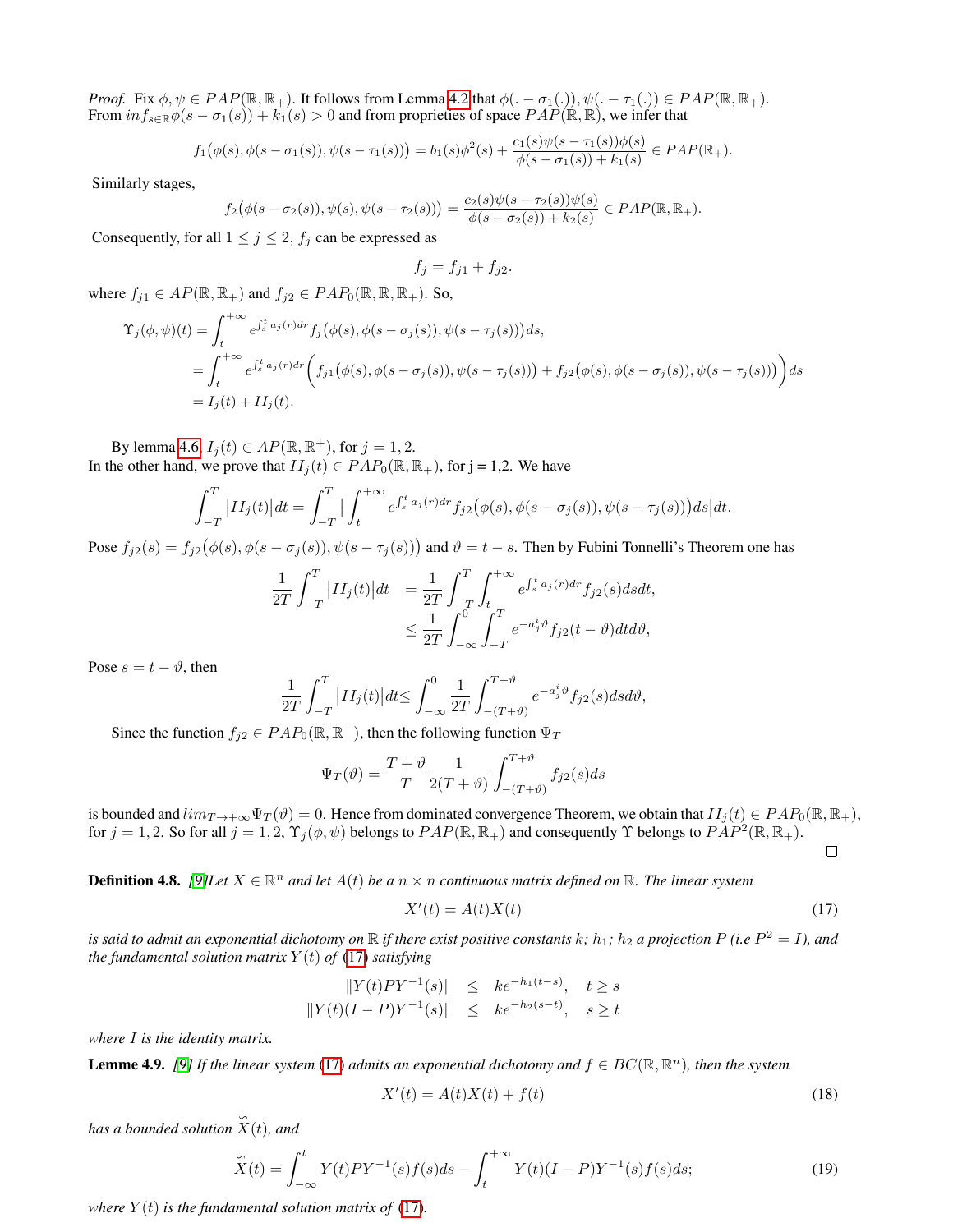*Proof.* Fix  $\phi, \psi \in PAP(\mathbb{R}, \mathbb{R}_+)$ . It follows from Lemma [4.2](#page-4-2) that  $\phi(.-\sigma_1(.)), \psi(.-\tau_1(.)) \in PAP(\mathbb{R}, \mathbb{R}_+).$ From  $inf_{s\in\mathbb{R}}\phi(s-\sigma_1(s))+k_1(s)>0$  and from proprieties of space  $PAP(\mathbb{R}, \mathbb{R})$ , we infer that

$$
f_1(\phi(s), \phi(s-\sigma_1(s)), \psi(s-\tau_1(s))) = b_1(s)\phi^2(s) + \frac{c_1(s)\psi(s-\tau_1(s))\phi(s)}{\phi(s-\sigma_1(s)) + k_1(s)} \in PAP(\mathbb{R}_+).
$$

Similarly stages,

$$
f_2(\phi(s-\sigma_2(s)), \psi(s), \psi(s-\tau_2(s))) = \frac{c_2(s)\psi(s-\tau_2(s))\psi(s)}{\phi(s-\sigma_2(s)) + k_2(s)} \in PAP(\mathbb{R}, \mathbb{R}_+).
$$

Consequently, for all  $1 \le j \le 2$ ,  $f_j$  can be expressed as

$$
f_j = f_{j1} + f_{j2}.
$$

where  $f_{j1} \in AP(\mathbb{R}, \mathbb{R}_+)$  and  $f_{j2} \in PAP_0(\mathbb{R}, \mathbb{R}, \mathbb{R}_+)$ . So,

$$
\begin{split} \Upsilon_{j}(\phi,\psi)(t) &= \int_{t}^{+\infty} e^{\int_{s}^{t} a_{j}(r) dr} f_{j}\big(\phi(s), \phi(s-\sigma_{j}(s)), \psi(s-\tau_{j}(s))\big) ds, \\ &= \int_{t}^{+\infty} e^{\int_{s}^{t} a_{j}(r) dr} \bigg( f_{j1}\big(\phi(s), \phi(s-\sigma_{j}(s)), \psi(s-\tau_{j}(s))\big) + f_{j2}\big(\phi(s), \phi(s-\sigma_{j}(s)), \psi(s-\tau_{j}(s))\big) \bigg) ds \\ &= I_{j}(t) + II_{j}(t). \end{split}
$$

By lemma [4.6,](#page-5-1)  $I_j(t) \in AP(\mathbb{R}, \mathbb{R}^+)$ , for  $j = 1, 2$ . In the other hand, we prove that  $II_i(t) \in PAP_0(\mathbb{R}, \mathbb{R}_+)$ , for j = 1,2. We have

$$
\int_{-T}^{T} \left| II_j(t) \right| dt = \int_{-T}^{T} \left| \int_{t}^{+\infty} e^{\int_{s}^{t} a_j(r) dr} f_{j2}(\phi(s), \phi(s-\sigma_j(s)), \psi(s-\tau_j(s))) ds \right| dt.
$$

Pose  $f_{j2}(s) = f_{j2}(\phi(s), \phi(s - \sigma_j(s)), \psi(s - \tau_j(s)))$  and  $\vartheta = t - s$ . Then by Fubini Tonnelli's Theorem one has

$$
\frac{1}{2T} \int_{-T}^{T} |II_j(t)| dt = \frac{1}{2T} \int_{-T}^{T} \int_{t}^{+\infty} e^{\int_{s}^{t} a_j(r) dr} f_{j2}(s) ds dt,
$$
  

$$
\leq \frac{1}{2T} \int_{-\infty}^{0} \int_{-T}^{T} e^{-a_j^{t} \vartheta} f_{j2}(t-\vartheta) dt d\vartheta,
$$

Pose  $s = t - \vartheta$ , then

$$
\frac{1}{2T} \int_{-T}^{T} |II_j(t)| dt \le \int_{-\infty}^{0} \frac{1}{2T} \int_{-(T+\vartheta)}^{T+\vartheta} e^{-a_j^i \vartheta} f_{j2}(s) ds d\vartheta,
$$

Since the function  $f_{j2} \in PAP_0(\mathbb{R}, \mathbb{R}^+)$ , then the following function  $\Psi_T$ 

$$
\Psi_T(\vartheta) = \frac{T + \vartheta}{T} \frac{1}{2(T + \vartheta)} \int_{-(T + \vartheta)}^{T + \vartheta} f_{j2}(s) ds
$$

is bounded and  $\lim_{T\to+\infty} \Psi_T(\vartheta) = 0$ . Hence from dominated convergence Theorem, we obtain that  $II_j(t) \in PAP_0(\mathbb{R}, \mathbb{R}_+),$ for  $j = 1, 2$ . So for all  $j = 1, 2, \Upsilon_j(\phi, \psi)$  belongs to  $PAP(\mathbb{R}, \mathbb{R}_+)$  and consequently  $\Upsilon$  belongs to  $PAP^2(\mathbb{R}, \mathbb{R}_+)$ .

<span id="page-6-0"></span> $\Box$ 

**Definition 4.8.** [\[9\]](#page-17-17)Let  $X \in \mathbb{R}^n$  and let  $A(t)$  be a  $n \times n$  continuous matrix defined on  $\mathbb{R}$ . The linear system

$$
X'(t) = A(t)X(t)
$$
\n<sup>(17)</sup>

is said to admit an exponential dichotomy on  $\R$  if there exist positive constants  $k;$   $h_1;$   $h_2$  a projection  $P$  (i.e  $P^2=I$ ), and *the fundamental solution matrix*  $Y(t)$  *of* [\(17\)](#page-6-0) *satisfying* 

$$
||Y(t)PY^{-1}(s)|| \leq ke^{-h_1(t-s)}, \quad t \geq s
$$
  

$$
||Y(t)(I-P)Y^{-1}(s)|| \leq ke^{-h_2(s-t)}, \quad s \geq t
$$

*where* I *is the identity matrix.*

<span id="page-6-1"></span>**Lemme 4.9.** [\[9\]](#page-17-17) If the linear system [\(17\)](#page-6-0) admits an exponential dichotomy and  $f \in BC(\mathbb{R}, \mathbb{R}^n)$ , then the system

$$
X'(t) = A(t)X(t) + f(t)
$$
\n(18)

*has a bounded solution*  $\hat{X}(t)$ *, and* 

$$
\widetilde{X}(t) = \int_{-\infty}^{t} Y(t)PY^{-1}(s)f(s)ds - \int_{t}^{+\infty} Y(t)(I - P)Y^{-1}(s)f(s)ds;\tag{19}
$$

*where*  $Y(t)$  *is the fundamental solution matrix of* [\(17\)](#page-6-0)*.*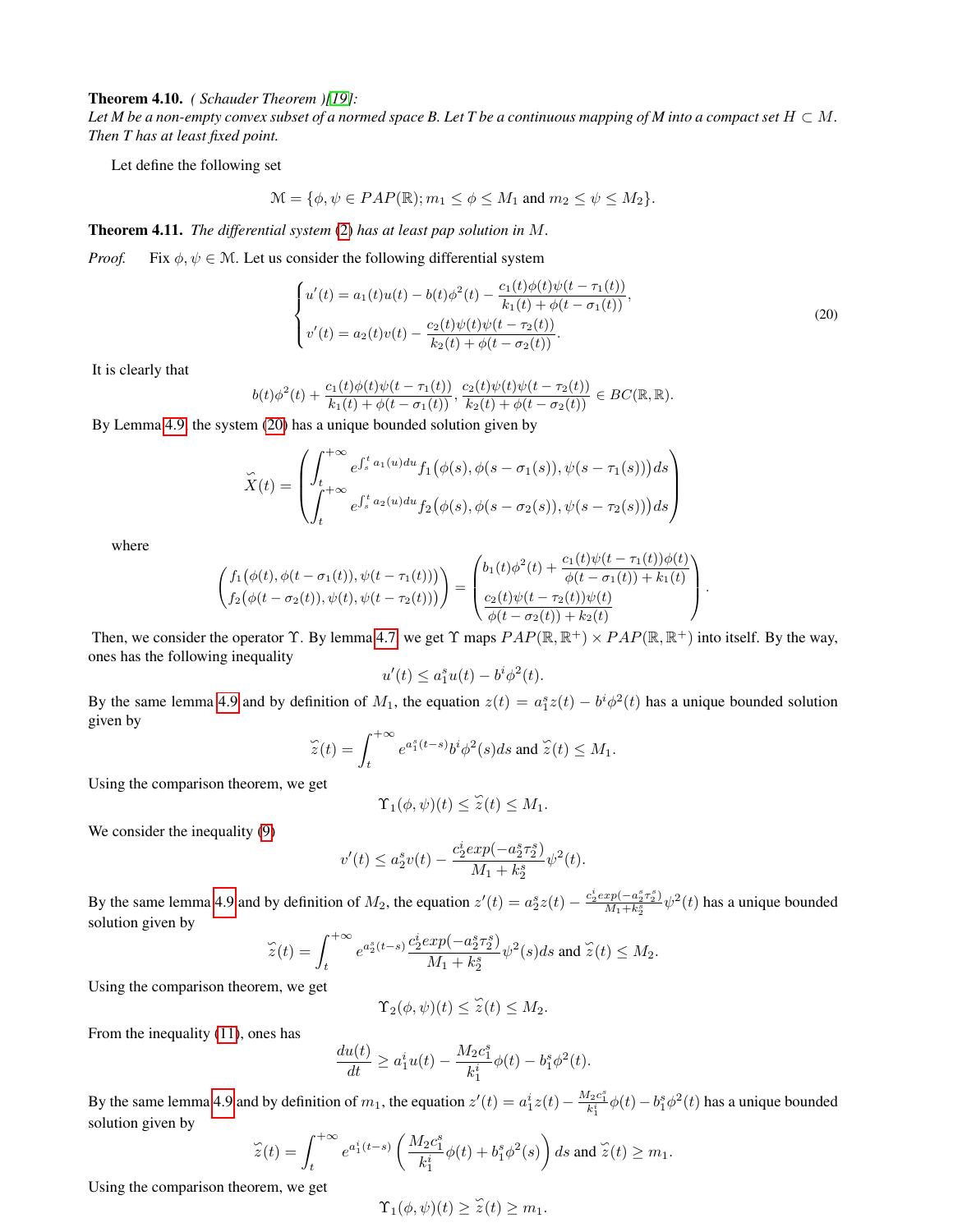Theorem 4.10. *( Schauder Theorem )[\[19\]](#page-17-18):*

Let M be a non-empty convex subset of a normed space B. Let T be a continuous mapping of M into a compact set  $H \subset M$ . *Then T has at least fixed point.*

Let define the following set

$$
\mathcal{M} = \{ \phi, \psi \in PAP(\mathbb{R}); m_1 \le \phi \le M_1 \text{ and } m_2 \le \psi \le M_2 \}.
$$

<span id="page-7-1"></span>Theorem 4.11. *The differential system* [\(2\)](#page-1-0) *has at least pap solution in* M*.*

*Proof.* Fix  $\phi, \psi \in \mathcal{M}$ . Let us consider the following differential system

<span id="page-7-0"></span>
$$
\begin{cases}\nu'(t) = a_1(t)u(t) - b(t)\phi^2(t) - \frac{c_1(t)\phi(t)\psi(t - \tau_1(t))}{k_1(t) + \phi(t - \sigma_1(t))},\\v'(t) = a_2(t)v(t) - \frac{c_2(t)\psi(t)\psi(t - \tau_2(t))}{k_2(t) + \phi(t - \sigma_2(t))}.\end{cases}
$$
\n(20)

It is clearly that

$$
b(t)\phi^{2}(t)+\frac{c_{1}(t)\phi(t)\psi(t-\tau_{1}(t))}{k_{1}(t)+\phi(t-\sigma_{1}(t))},\frac{c_{2}(t)\psi(t)\psi(t-\tau_{2}(t))}{k_{2}(t)+\phi(t-\sigma_{2}(t))}\in BC(\mathbb{R},\mathbb{R}).
$$

By Lemma [4.9,](#page-6-1) the system [\(20\)](#page-7-0) has a unique bounded solution given by

$$
\widetilde{X}(t) = \left( \int_{t}^{+\infty} e^{\int_{s}^{t} a_{1}(u) du} f_{1}(\phi(s), \phi(s-\sigma_{1}(s)), \psi(s-\tau_{1}(s))) ds \right) \newline + \left. \int_{t}^{+\infty} e^{\int_{s}^{t} a_{2}(u) du} f_{2}(\phi(s), \phi(s-\sigma_{2}(s)), \psi(s-\tau_{2}(s))) ds \right)
$$

where

$$
\begin{pmatrix} f_1(\phi(t), \phi(t-\sigma_1(t)), \psi(t-\tau_1(t))) \\ f_2(\phi(t-\sigma_2(t)), \psi(t), \psi(t-\tau_2(t))) \end{pmatrix} = \begin{pmatrix} b_1(t)\phi^2(t) + \frac{c_1(t)\psi(t-\tau_1(t))\phi(t)}{\phi(t-\sigma_1(t)) + k_1(t)} \\ \frac{c_2(t)\psi(t-\tau_2(t))\psi(t)}{\phi(t-\sigma_2(t)) + k_2(t)} \end{pmatrix}.
$$

Then, we consider the operator  $\Upsilon$ . By lemma [4.7,](#page-5-2) we get  $\Upsilon$  maps  $PAP(\mathbb{R}, \mathbb{R}^+) \times PAP(\mathbb{R}, \mathbb{R}^+)$  into itself. By the way, ones has the following inequality

$$
u'(t) \le a_1^s u(t) - b^i \phi^2(t).
$$

By the same lemma [4.9](#page-6-1) and by definition of  $M_1$ , the equation  $z(t) = a_1^s z(t) - b^i \phi^2(t)$  has a unique bounded solution given by

$$
\widetilde{z}(t) = \int_{t}^{+\infty} e^{a_1^s(t-s)} b^i \phi^2(s) ds \text{ and } \widetilde{z}(t) \le M_1.
$$

Using the comparison theorem, we get

$$
\Upsilon_1(\phi,\psi)(t) \leq \tilde{z}(t) \leq M_1.
$$

We consider the inequality  $(9)$ 

$$
v'(t) \le a_2^s v(t) - \frac{c_2^i \exp(-a_2^s \tau_2^s)}{M_1 + k_2^s} \psi^2(t).
$$

By the same lemma [4.9](#page-6-1) and by definition of  $M_2$ , the equation  $z'(t) = a_2^s z(t) - \frac{c_2^s exp(-a_2^s \tau_2^s)}{M_1 + k_2^s}$  $\frac{xp(-a_2^2\tau_2^2)}{M_1+k_2^s}\psi^2(t)$  has a unique bounded solution given by

$$
\widetilde{z}(t) = \int_{t}^{+\infty} e^{a_2^s(t-s)} \frac{c_2^i exp(-a_2^s \tau_2^s)}{M_1 + k_2^s} \psi^2(s) ds \text{ and } \widetilde{z}(t) \le M_2.
$$

Using the comparison theorem, we get

$$
\Upsilon_2(\phi,\psi)(t) \leq \widetilde{z}(t) \leq M_2.
$$

From the inequality [\(11\)](#page-3-4), ones has

$$
\frac{du(t)}{dt} \ge a_1^i u(t) - \frac{M_2 c_1^s}{k_1^i} \phi(t) - b_1^s \phi^2(t).
$$

By the same lemma [4.9](#page-6-1) and by definition of  $m_1$ , the equation  $z'(t) = a_1^i z(t) - \frac{M_2 c_1^s}{k_1^i} \phi(t) - b_1^s \phi^2(t)$  has a unique bounded solution given by

$$
\widetilde{z}(t) = \int_{t}^{+\infty} e^{a_1^i(t-s)} \left( \frac{M_2 c_1^s}{k_1^i} \phi(t) + b_1^s \phi^2(s) \right) ds \text{ and } \widetilde{z}(t) \ge m_1.
$$

Using the comparison theorem, we get

$$
\Upsilon_1(\phi,\psi)(t) \geq \widetilde{z}(t) \geq m_1.
$$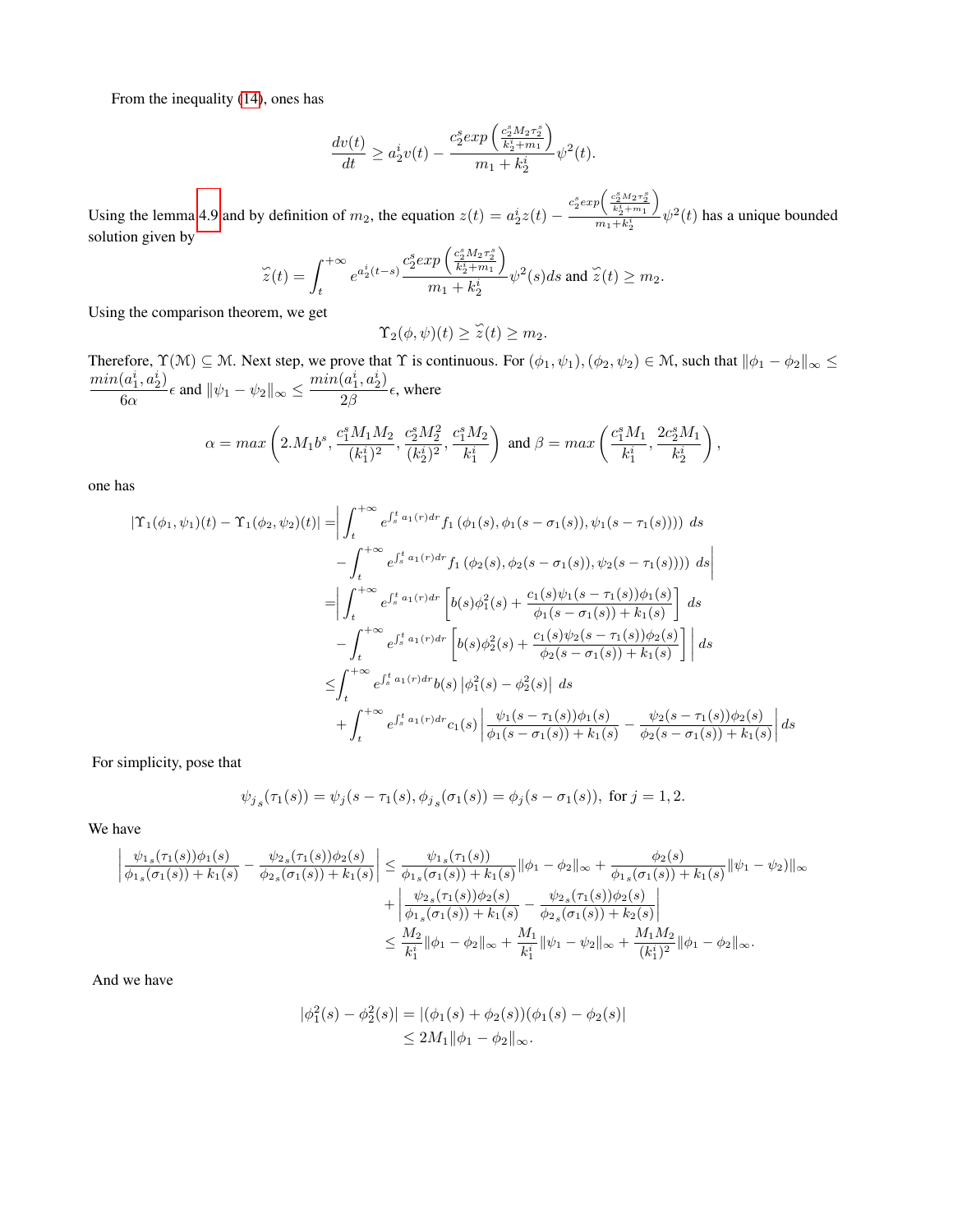From the inequality [\(14\)](#page-3-5), ones has

$$
\frac{dv(t)}{dt} \ge a_2^i v(t) - \frac{c_2^s exp\left(\frac{c_2^s M_2 \tau_2^s}{k_2^i + m_1}\right)}{m_1 + k_2^i} \psi^2(t).
$$

Using the lemma [4.9](#page-6-1) and by definition of  $m_2$ , the equation  $z(t) = a_2^i z(t) - \frac{c_2^s exp\left(\frac{c_2^s M_2 \tau_2^s}{k_2^s + m_1}\right)}{m_1 + k_2^s}$  $\setminus$  $\frac{\binom{k_2+m_1}{m_1+k_2}}{m_1+k_2} \psi^2(t)$  has a unique bounded solution given by

$$
\widetilde{z}(t) = \int_t^{+\infty} e^{a_2^i(t-s)} \frac{c_2^s exp\left(\frac{c_2^s M_2 \tau_2^s}{k_2^i + m_1}\right)}{m_1 + k_2^i} \psi^2(s) ds \text{ and } \widetilde{z}(t) \ge m_2.
$$

Using the comparison theorem, we get

$$
\Upsilon_2(\phi,\psi)(t) \geq \widetilde{z}(t) \geq m_2.
$$

Therefore,  $\Upsilon(\mathcal{M})\subseteq\mathcal{M}$ . Next step, we prove that  $\Upsilon$  is continuous. For  $(\phi_1,\psi_1),(\phi_2,\psi_2)\in\mathcal{M}$ , such that  $\|\phi_1-\phi_2\|_{\infty}\leq\sqrt{2n}$  $min(a_1^i, a_2^i)$  $\frac{(a_1^i, a_2^i)}{6\alpha} \epsilon$  and  $\|\psi_1 - \psi_2\|_{\infty} \leq \frac{\min(a_1^i, a_2^i)}{2\beta}$  $\frac{\alpha_1, \alpha_2}{2\beta}$   $\epsilon$ , where

$$
\alpha = max\left(2.M_1 b^s, \frac{c_1^s M_1 M_2}{(k_1^i)^2}, \frac{c_2^s M_2^2}{(k_2^i)^2}, \frac{c_1^s M_2}{k_1^i}\right) \text{ and } \beta = max\left(\frac{c_1^s M_1}{k_1^i}, \frac{2c_2^s M_1}{k_2^i}\right),
$$

one has

$$
|\Upsilon_{1}(\phi_{1},\psi_{1})(t) - \Upsilon_{1}(\phi_{2},\psi_{2})(t)| = \left| \int_{t}^{+\infty} e^{\int_{s}^{t} a_{1}(r) dr} f_{1}(\phi_{1}(s),\phi_{1}(s-\sigma_{1}(s)),\psi_{1}(s-\tau_{1}(s)))) ds - \int_{t}^{+\infty} e^{\int_{s}^{t} a_{1}(r) dr} f_{1}(\phi_{2}(s),\phi_{2}(s-\sigma_{1}(s)),\psi_{2}(s-\tau_{1}(s)))) ds \right|
$$
  
\n
$$
= \left| \int_{t}^{+\infty} e^{\int_{s}^{t} a_{1}(r) dr} \left[ b(s) \phi_{1}^{2}(s) + \frac{c_{1}(s) \psi_{1}(s-\tau_{1}(s)) \phi_{1}(s)}{\phi_{1}(s-\sigma_{1}(s)) + k_{1}(s)} \right] ds - \int_{t}^{+\infty} e^{\int_{s}^{t} a_{1}(r) dr} \left[ b(s) \phi_{2}^{2}(s) + \frac{c_{1}(s) \psi_{2}(s-\tau_{1}(s)) \phi_{2}(s)}{\phi_{2}(s-\sigma_{1}(s)) + k_{1}(s)} \right] ds
$$
  
\n
$$
\leq \int_{t}^{+\infty} e^{\int_{s}^{t} a_{1}(r) dr} b(s) \left| \phi_{1}^{2}(s) - \phi_{2}^{2}(s) \right| ds + \int_{t}^{+\infty} e^{\int_{s}^{t} a_{1}(r) dr} c_{1}(s) \left| \frac{\psi_{1}(s-\tau_{1}(s)) \phi_{1}(s)}{\phi_{1}(s-\sigma_{1}(s)) + k_{1}(s)} - \frac{\psi_{2}(s-\tau_{1}(s)) \phi_{2}(s)}{\phi_{2}(s-\sigma_{1}(s)) + k_{1}(s)} \right| ds
$$

For simplicity, pose that

$$
\psi_{j_s}(\tau_1(s)) = \psi_j(s - \tau_1(s), \phi_{j_s}(\sigma_1(s)) = \phi_j(s - \sigma_1(s)),
$$
 for  $j = 1, 2$ .

We have

$$
\left| \frac{\psi_{1_s}(\tau_1(s))\phi_1(s)}{\phi_{1_s}(\sigma_1(s)) + k_1(s)} - \frac{\psi_{2_s}(\tau_1(s))\phi_2(s)}{\phi_{2_s}(\sigma_1(s)) + k_1(s)} \right| \leq \frac{\psi_{1_s}(\tau_1(s))}{\phi_{1_s}(\sigma_1(s)) + k_1(s)} \|\phi_1 - \phi_2\|_{\infty} + \frac{\phi_2(s)}{\phi_{1_s}(\sigma_1(s)) + k_1(s)} \|\psi_1 - \psi_2\|_{\infty} + \left| \frac{\psi_{2_s}(\tau_1(s))\phi_2(s)}{\phi_{1_s}(\sigma_1(s)) + k_1(s)} - \frac{\psi_{2_s}(\tau_1(s))\phi_2(s)}{\phi_{2_s}(\sigma_1(s)) + k_2(s)} \right| \leq \frac{M_2}{k_1^i} \|\phi_1 - \phi_2\|_{\infty} + \frac{M_1}{k_1^i} \|\psi_1 - \psi_2\|_{\infty} + \frac{M_1 M_2}{(k_1^i)^2} \|\phi_1 - \phi_2\|_{\infty}.
$$

And we have

$$
|\phi_1^2(s) - \phi_2^2(s)| = |(\phi_1(s) + \phi_2(s))(\phi_1(s) - \phi_2(s)|
$$
  

$$
\le 2M_1 \|\phi_1 - \phi_2\|_{\infty}.
$$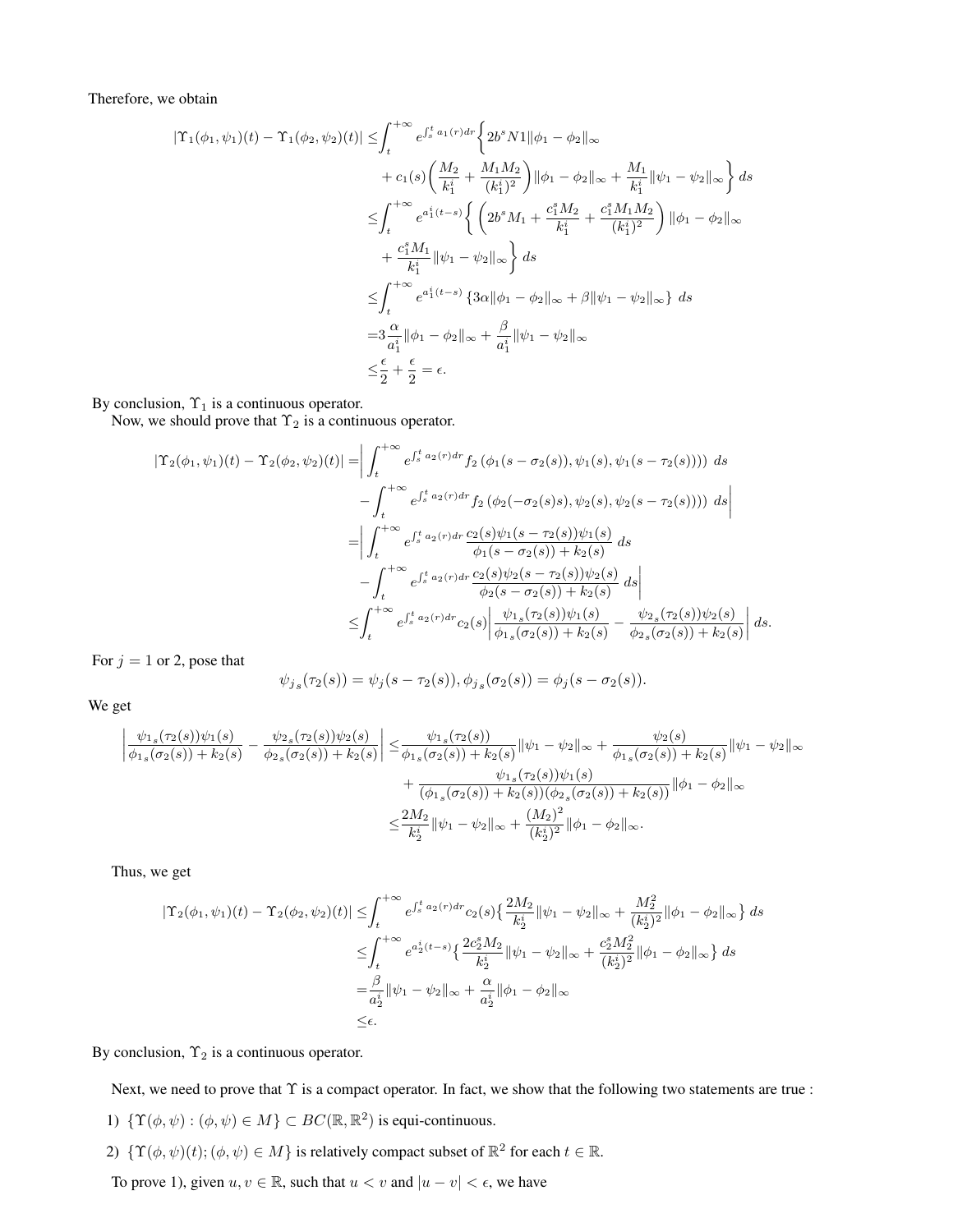Therefore, we obtain

$$
|\Upsilon_{1}(\phi_{1},\psi_{1})(t) - \Upsilon_{1}(\phi_{2},\psi_{2})(t)| \leq \int_{t}^{+\infty} e^{\int_{s}^{t} a_{1}(r) dr} \left\{ 2b^{s} N1 \|\phi_{1} - \phi_{2}\|_{\infty} + \frac{M_{1}}{k_{1}^{i}} \|\psi_{1} - \psi_{2}\|_{\infty} \right\} ds
$$
  
+  $c_{1}(s) \left( \frac{M_{2}}{k_{1}^{i}} + \frac{M_{1} M_{2}}{(k_{1}^{i})^{2}} \right) \|\phi_{1} - \phi_{2}\|_{\infty} + \frac{M_{1}}{k_{1}^{i}} \|\psi_{1} - \psi_{2}\|_{\infty} \right\} ds$   

$$
\leq \int_{t}^{+\infty} e^{a_{1}^{i}(t-s)} \left\{ \left( 2b^{s} M_{1} + \frac{c_{1}^{s} M_{2}}{k_{1}^{i}} + \frac{c_{1}^{s} M_{1} M_{2}}{(k_{1}^{i})^{2}} \right) \|\phi_{1} - \phi_{2}\|_{\infty} + \frac{c_{1}^{s} M_{1}}{k_{1}^{i}} \|\psi_{1} - \psi_{2}\|_{\infty} \right\} ds
$$
  

$$
\leq \int_{t}^{+\infty} e^{a_{1}^{i}(t-s)} \left\{ 3\alpha \|\phi_{1} - \phi_{2}\|_{\infty} + \beta \|\psi_{1} - \psi_{2}\|_{\infty} \right\} ds
$$
  
=  $3\frac{\alpha}{a_{1}^{i}} \|\phi_{1} - \phi_{2}\|_{\infty} + \frac{\beta}{a_{1}^{i}} \|\psi_{1} - \psi_{2}\|_{\infty}$   

$$
\leq \frac{\epsilon}{2} + \frac{\epsilon}{2} = \epsilon.
$$

By conclusion,  $\Upsilon_1$  is a continuous operator.

Now, we should prove that  $\Upsilon_2$  is a continuous operator.

$$
|\Upsilon_{2}(\phi_{1},\psi_{1})(t) - \Upsilon_{2}(\phi_{2},\psi_{2})(t)| = \left| \int_{t}^{+\infty} e^{\int_{s}^{t} a_{2}(r) dr} f_{2}(\phi_{1}(s-\sigma_{2}(s)),\psi_{1}(s),\psi_{1}(s-\tau_{2}(s)))) ds - \int_{t}^{+\infty} e^{\int_{s}^{t} a_{2}(r) dr} f_{2}(\phi_{2}(-\sigma_{2}(s)s),\psi_{2}(s),\psi_{2}(s-\tau_{2}(s)))) ds \right|
$$
  
\n
$$
= \left| \int_{t}^{+\infty} e^{\int_{s}^{t} a_{2}(r) dr} \frac{c_{2}(s)\psi_{1}(s-\tau_{2}(s))\psi_{1}(s)}{\phi_{1}(s-\sigma_{2}(s)) + k_{2}(s)} ds - \int_{t}^{+\infty} e^{\int_{s}^{t} a_{2}(r) dr} \frac{c_{2}(s)\psi_{2}(s-\tau_{2}(s))\psi_{2}(s)}{\phi_{2}(s-\sigma_{2}(s)) + k_{2}(s)} ds \right|
$$
  
\n
$$
\leq \int_{t}^{+\infty} e^{\int_{s}^{t} a_{2}(r) dr} c_{2}(s) \left| \frac{\psi_{1s}(\tau_{2}(s))\psi_{1}(s)}{\phi_{1s}(\sigma_{2}(s)) + k_{2}(s)} - \frac{\psi_{2s}(\tau_{2}(s))\psi_{2}(s)}{\phi_{2s}(\sigma_{2}(s)) + k_{2}(s)} \right| ds.
$$

For  $j = 1$  or 2, pose that

$$
\psi_{j_s}(\tau_2(s)) = \psi_j(s - \tau_2(s)), \phi_{j_s}(\sigma_2(s)) = \phi_j(s - \sigma_2(s)).
$$

We get

$$
\left| \frac{\psi_{1s}(\tau_2(s))\psi_1(s)}{\phi_{1s}(\sigma_2(s)) + k_2(s)} - \frac{\psi_{2s}(\tau_2(s))\psi_2(s)}{\phi_{2s}(\sigma_2(s)) + k_2(s)} \right| \leq \frac{\psi_{1s}(\tau_2(s))}{\phi_{1s}(\sigma_2(s)) + k_2(s)} \|\psi_1 - \psi_2\|_{\infty} + \frac{\psi_{2s}(\sigma_2(s))}{\phi_{1s}(\sigma_2(s)) + k_2(s)} \|\psi_1 - \psi_2\|_{\infty} + \frac{\psi_{1s}(\tau_2(s))\psi_1(s)}{(\phi_{1s}(\sigma_2(s)) + k_2(s))(\phi_{2s}(\sigma_2(s)) + k_2(s))} \|\phi_1 - \phi_2\|_{\infty} + \frac{2M_2}{k_2^i} \|\psi_1 - \psi_2\|_{\infty} + \frac{(M_2)^2}{(k_2^i)^2} \|\phi_1 - \phi_2\|_{\infty}.
$$

Thus, we get

$$
|\Upsilon_2(\phi_1, \psi_1)(t) - \Upsilon_2(\phi_2, \psi_2)(t)| \leq \int_t^{+\infty} e^{\int_s^t a_2(r) dr} c_2(s) \left\{ \frac{2M_2}{k_2^i} \|\psi_1 - \psi_2\|_{\infty} + \frac{M_2^2}{(k_2^i)^2} \|\phi_1 - \phi_2\|_{\infty} \right\} ds
$$
  

$$
\leq \int_t^{+\infty} e^{a_2^i(t-s)} \left\{ \frac{2c_2^s M_2}{k_2^i} \|\psi_1 - \psi_2\|_{\infty} + \frac{c_2^s M_2^2}{(k_2^i)^2} \|\phi_1 - \phi_2\|_{\infty} \right\} ds
$$
  

$$
= \frac{\beta}{a_2^i} \|\psi_1 - \psi_2\|_{\infty} + \frac{\alpha}{a_2^i} \|\phi_1 - \phi_2\|_{\infty}
$$
  

$$
\leq \epsilon.
$$

By conclusion,  $\Upsilon_2$  is a continuous operator.

Next, we need to prove that  $\Upsilon$  is a compact operator. In fact, we show that the following two statements are true :

- 1)  $\{\Upsilon(\phi, \psi) : (\phi, \psi) \in M\} \subset BC(\mathbb{R}, \mathbb{R}^2)$  is equi-continuous.
- 2)  $\{ \Upsilon(\phi, \psi)(t) ; (\phi, \psi) \in M \}$  is relatively compact subset of  $\mathbb{R}^2$  for each  $t \in \mathbb{R}$ .

To prove 1), given  $u, v \in \mathbb{R}$ , such that  $u < v$  and  $|u - v| < \epsilon$ , we have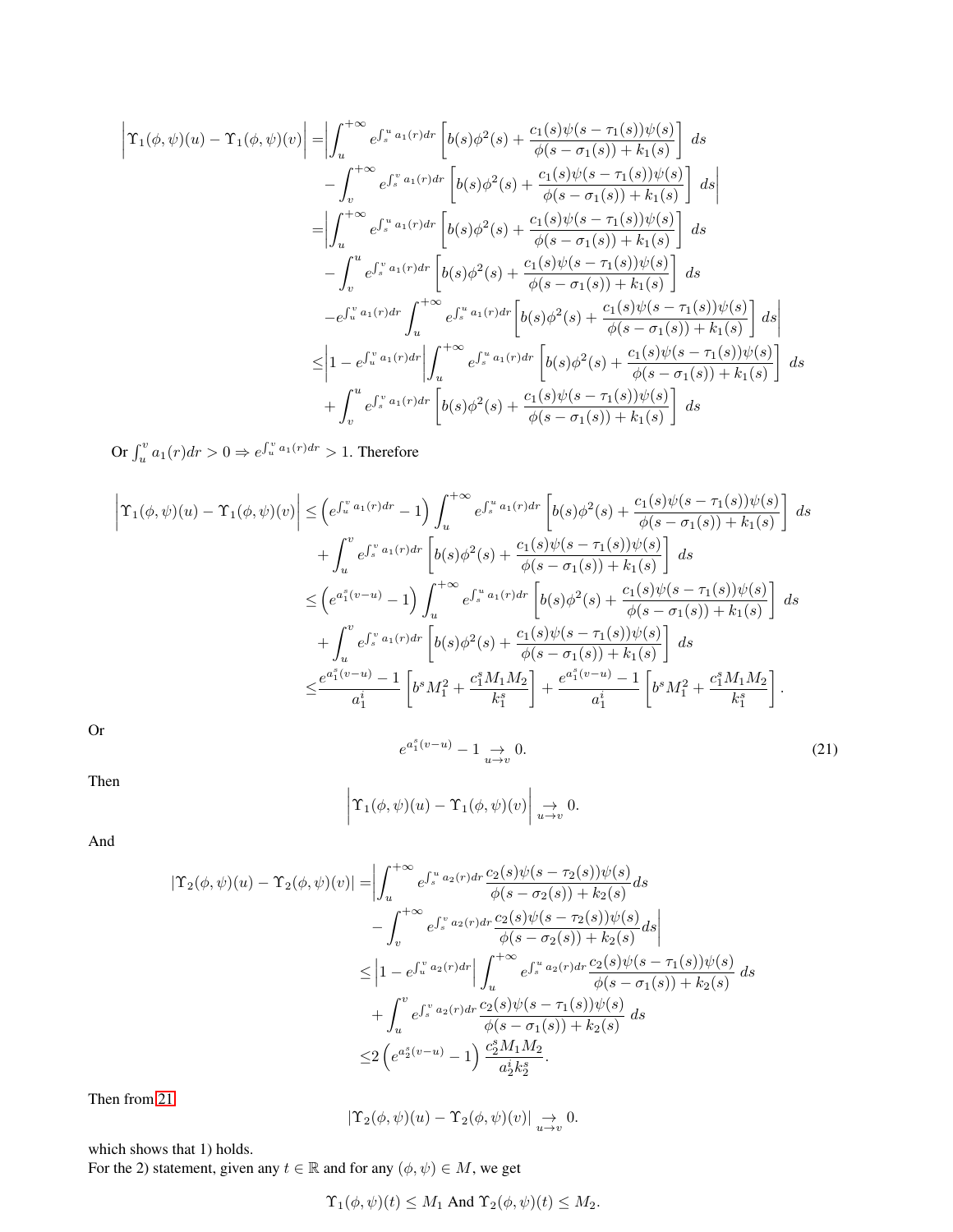$$
\begin{split}\n\left| \Upsilon_{1}(\phi,\psi)(u) - \Upsilon_{1}(\phi,\psi)(v) \right| &= \left| \int_{u}^{+\infty} e^{\int_{s}^{u} a_{1}(r) dr} \left[ b(s) \phi^{2}(s) + \frac{c_{1}(s) \psi(s - \tau_{1}(s)) \psi(s)}{\phi(s - \sigma_{1}(s)) + k_{1}(s)} \right] ds \\
&\quad - \int_{v}^{+\infty} e^{\int_{s}^{v} a_{1}(r) dr} \left[ b(s) \phi^{2}(s) + \frac{c_{1}(s) \psi(s - \tau_{1}(s)) \psi(s)}{\phi(s - \sigma_{1}(s)) + k_{1}(s)} \right] ds \\
&= \left| \int_{u}^{+\infty} e^{\int_{s}^{u} a_{1}(r) dr} \left[ b(s) \phi^{2}(s) + \frac{c_{1}(s) \psi(s - \tau_{1}(s)) \psi(s)}{\phi(s - \sigma_{1}(s)) + k_{1}(s)} \right] ds \\
&\quad - \int_{v}^{u} e^{\int_{s}^{v} a_{1}(r) dr} \left[ b(s) \phi^{2}(s) + \frac{c_{1}(s) \psi(s - \tau_{1}(s)) \psi(s)}{\phi(s - \sigma_{1}(s)) + k_{1}(s)} \right] ds \\
&\quad - e^{\int_{u}^{u} a_{1}(r) dr} \int_{u}^{+\infty} e^{\int_{s}^{u} a_{1}(r) dr} \left[ b(s) \phi^{2}(s) + \frac{c_{1}(s) \psi(s - \tau_{1}(s)) \psi(s)}{\phi(s - \sigma_{1}(s)) + k_{1}(s)} \right] ds \\
&\leq \left| 1 - e^{\int_{u}^{v} a_{1}(r) dr} \right| \int_{u}^{+\infty} e^{\int_{s}^{u} a_{1}(r) dr} \left[ b(s) \phi^{2}(s) + \frac{c_{1}(s) \psi(s - \tau_{1}(s)) \psi(s)}{\phi(s - \sigma_{1}(s)) + k_{1}(s)} \right] ds \\
&\quad + \int_{v}^{u} e^{\int_{s}^{v} a_{1}(r) dr} \left[ b(s) \phi^{2}(s) + \frac{c_{1}(s) \psi(s - \tau_{1}(s)) \psi(s)}{\phi(s - \sigma_{1}(s)) + k_{1}(s)} \right] ds\n\end{split}
$$

Or  $\int_u^v a_1(r) dr > 0 \Rightarrow e^{\int_u^v a_1(r) dr} > 1$ . Therefore

$$
\begin{split}\n\left| \Upsilon_{1}(\phi,\psi)(u) - \Upsilon_{1}(\phi,\psi)(v) \right| &\leq \left( e^{\int_{u}^{v} a_{1}(r) dr} - 1 \right) \int_{u}^{+\infty} e^{\int_{s}^{u} a_{1}(r) dr} \left[ b(s) \phi^{2}(s) + \frac{c_{1}(s) \psi(s - \tau_{1}(s)) \psi(s)}{\phi(s - \sigma_{1}(s)) + k_{1}(s)} \right] ds \\
&\quad + \int_{u}^{v} e^{\int_{s}^{v} a_{1}(r) dr} \left[ b(s) \phi^{2}(s) + \frac{c_{1}(s) \psi(s - \tau_{1}(s)) \psi(s)}{\phi(s - \sigma_{1}(s)) + k_{1}(s)} \right] ds \\
&\leq \left( e^{a_{1}^{s}(v-u)} - 1 \right) \int_{u}^{+\infty} e^{\int_{s}^{u} a_{1}(r) dr} \left[ b(s) \phi^{2}(s) + \frac{c_{1}(s) \psi(s - \tau_{1}(s)) \psi(s)}{\phi(s - \sigma_{1}(s)) + k_{1}(s)} \right] ds \\
&\quad + \int_{u}^{v} e^{\int_{s}^{v} a_{1}(r) dr} \left[ b(s) \phi^{2}(s) + \frac{c_{1}(s) \psi(s - \tau_{1}(s)) \psi(s)}{\phi(s - \sigma_{1}(s)) + k_{1}(s)} \right] ds \\
&\leq \frac{e^{a_{1}^{s}(v-u)} - 1}{a_{1}^{i}} \left[ b^{s} M_{1}^{2} + \frac{c_{1}^{s} M_{1} M_{2}}{k_{1}^{s}} \right] + \frac{e^{a_{1}^{s}(v-u)} - 1}{a_{1}^{i}} \left[ b^{s} M_{1}^{2} + \frac{c_{1}^{s} M_{1} M_{2}}{k_{1}^{s}} \right].\n\end{split}
$$

<span id="page-10-0"></span>Or

 $e^{a_1^s(v-u)}-1 \underset{u\to v}{\to}$  $0.$  (21)

Then

$$
\left|\Upsilon_1(\phi,\psi)(u)-\Upsilon_1(\phi,\psi)(v)\right|\underset{u\to v}{\to} 0.
$$

And

$$
|\Upsilon_{2}(\phi,\psi)(u) - \Upsilon_{2}(\phi,\psi)(v)| = \left| \int_{u}^{+\infty} e^{\int_{s}^{u} a_{2}(r) dr} \frac{c_{2}(s)\psi(s-\tau_{2}(s))\psi(s)}{\phi(s-\sigma_{2}(s)) + k_{2}(s)} ds - \int_{v}^{+\infty} e^{\int_{s}^{v} a_{2}(r) dr} \frac{c_{2}(s)\psi(s-\tau_{2}(s))\psi(s)}{\phi(s-\sigma_{2}(s)) + k_{2}(s)} ds \right|
$$
  

$$
\leq |1 - e^{\int_{u}^{v} a_{2}(r) dr} \left| \int_{u}^{+\infty} e^{\int_{s}^{u} a_{2}(r) dr} \frac{c_{2}(s)\psi(s-\tau_{1}(s))\psi(s)}{\phi(s-\sigma_{1}(s)) + k_{2}(s)} ds + \int_{u}^{v} e^{\int_{s}^{v} a_{2}(r) dr} \frac{c_{2}(s)\psi(s-\tau_{1}(s))\psi(s)}{\phi(s-\sigma_{1}(s)) + k_{2}(s)} ds
$$
  

$$
\leq 2 \left( e^{a_{2}^{s}(v-u)} - 1 \right) \frac{c_{2}^{s} M_{1} M_{2}}{a_{2}^{i} k_{2}^{s}}.
$$

Then from [21](#page-10-0)

$$
|\Upsilon_2(\phi,\psi)(u) - \Upsilon_2(\phi,\psi)(v)| \underset{u \to v}{\to} 0.
$$

which shows that 1) holds.

For the 2) statement, given any  $t \in \mathbb{R}$  and for any  $(\phi, \psi) \in M$ , we get

$$
\Upsilon_1(\phi, \psi)(t) \leq M_1
$$
 And  $\Upsilon_2(\phi, \psi)(t) \leq M_2$ .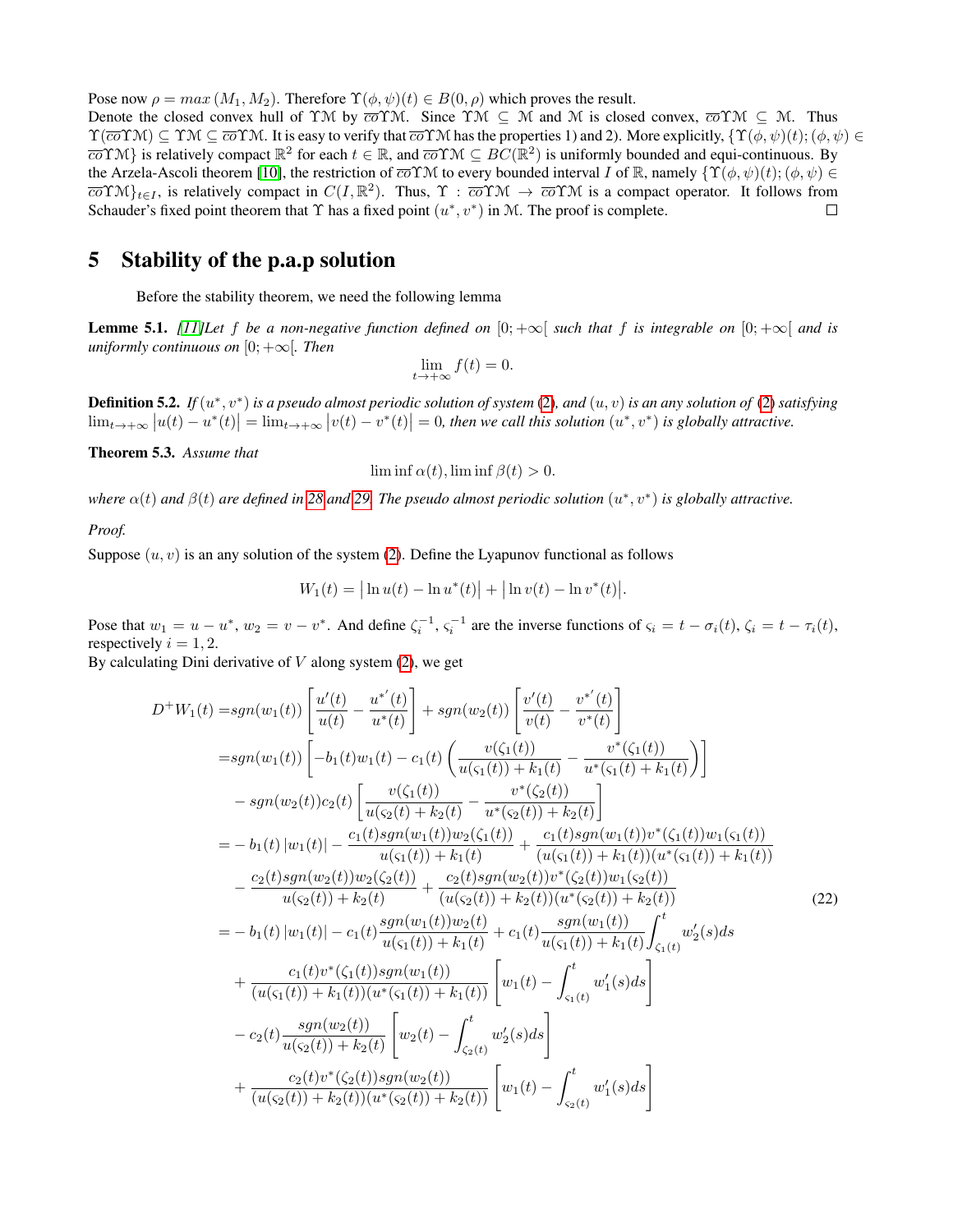Pose now  $\rho = max(M_1, M_2)$ . Therefore  $\Upsilon(\phi, \psi)(t) \in B(0, \rho)$  which proves the result.

Denote the closed convex hull of YM by  $\overline{co} \Upsilon M$ . Since  $\Upsilon M \subseteq M$  and M is closed convex,  $\overline{co} \Upsilon M \subseteq M$ . Thus  $\Upsilon(\overline{co}\Upsilon\mathcal{M}) \subseteq \Upsilon\mathcal{M} \subseteq \overline{co}\Upsilon\mathcal{M}$ . It is easy to verify that  $\overline{co}\Upsilon\mathcal{M}$  has the properties 1) and 2). More explicitly,  $\{\Upsilon(\phi,\psi)(t); (\phi,\psi) \in$  $\overline{co} \Upsilon M$ } is relatively compact  $\mathbb{R}^2$  for each  $t \in \mathbb{R}$ , and  $\overline{co} \Upsilon M \subseteq BC(\mathbb{R}^2)$  is uniformly bounded and equi-continuous. By the Arzela-Ascoli theorem [\[10\]](#page-17-19), the restriction of  $\overline{co} \Upsilon \mathcal{M}$  to every bounded interval I of  $\mathbb{R}$ , namely  $\{\Upsilon(\phi, \psi)(t); (\phi, \psi) \in$  $\overline{co} \Upsilon \mathcal{M} \}_{t \in I}$ , is relatively compact in  $C(I, \mathbb{R}^2)$ . Thus,  $\Upsilon : \overline{co} \Upsilon \mathcal{M} \to \overline{co} \Upsilon \mathcal{M}$  is a compact operator. It follows from Schauder's fixed point theorem that  $\Upsilon$  has a fixed point  $(u^*, v^*)$  in M. The proof is complete.  $\Box$ 

## 5 Stability of the p.a.p solution

Before the stability theorem, we need the following lemma

**Lemme 5.1.** *[\[11\]](#page-17-7)Let* f *be a non-negative function defined on*  $[0; +\infty]$  *such that* f *is integrable on*  $[0; +\infty]$  *and is uniformly continuous on*  $[0; +\infty]$ *. Then* 

$$
\lim_{t \to +\infty} f(t) = 0.
$$

**Definition 5.2.** If  $(u^*, v^*)$  is a pseudo almost periodic solution of system [\(2\)](#page-1-0), and  $(u, v)$  is an any solution of (2) satisfying  $\lim_{t\to+\infty} |u(t)-u^*(t)| = \lim_{t\to+\infty} |v(t)-v^*(t)| = 0$ , then we call this solution  $(u^*, v^*)$  is globally attractive.

<span id="page-11-1"></span>Theorem 5.3. *Assume that*

$$
\liminf \alpha(t), \liminf \beta(t) > 0.
$$

where  $\alpha(t)$  and  $\beta(t)$  are defined in [28](#page-14-0) and [29.](#page-14-1) The pseudo almost periodic solution  $(u^*, v^*)$  is globally attractive.

*Proof.*

Suppose  $(u, v)$  is an any solution of the system [\(2\)](#page-1-0). Define the Lyapunov functional as follows

<span id="page-11-0"></span>
$$
W_1(t) = |\ln u(t) - \ln u^*(t)| + |\ln v(t) - \ln v^*(t)|.
$$

Pose that  $w_1 = u - u^*$ ,  $w_2 = v - v^*$ . And define  $\zeta_i^{-1}$ ,  $\zeta_i^{-1}$  are the inverse functions of  $\zeta_i = t - \sigma_i(t)$ ,  $\zeta_i = t - \tau_i(t)$ , respectively  $i = 1, 2$ .

By calculating Dini derivative of  $V$  along system  $(2)$ , we get

$$
D^{+}W_{1}(t) = sgn(w_{1}(t)) \left[ \frac{u'(t)}{u(t)} - \frac{u^{*'}(t)}{u^{*}(t)} \right] + sgn(w_{2}(t)) \left[ \frac{v'(t)}{v(t)} - \frac{v^{*'}(t)}{v^{*}(t)} \right]
$$
  
\n
$$
= sgn(w_{1}(t)) \left[ -b_{1}(t)w_{1}(t) - c_{1}(t) \left( \frac{v(\zeta_{1}(t))}{u(\zeta_{1}(t)) + k_{1}(t)} - \frac{v^{*}(\zeta_{1}(t))}{u^{*}(\zeta_{1}(t) + k_{1}(t)} \right) \right]
$$
  
\n
$$
- sgn(w_{2}(t))c_{2}(t) \left[ \frac{v(\zeta_{1}(t))}{u(\zeta_{2}(t) + k_{2}(t)} - \frac{v^{*}(\zeta_{2}(t))}{u^{*}(\zeta_{2}(t)) + k_{2}(t)} \right]
$$
  
\n
$$
= -b_{1}(t) |w_{1}(t)| - \frac{c_{1}(t)sgn(w_{1}(t))w_{2}(\zeta_{1}(t))}{u(\zeta_{1}(t)) + k_{1}(t)} + \frac{c_{1}(t)sgn(w_{1}(t))v^{*}(\zeta_{1}(t))w_{1}(\zeta_{1}(t))}{u(\zeta_{1}(t)) + k_{1}(t)} - \frac{c_{2}(t)sgn(w_{2}(t))w_{2}(\zeta_{2}(t))}{u(\zeta_{2}(t)) + k_{2}(t)} + \frac{c_{2}(t)sgn(w_{2}(t))v^{*}(\zeta_{2}(t))w_{1}(\zeta_{2}(t))}{u(\zeta_{2}(t)) + k_{2}(t)} - \frac{sgn(w_{1}(t))w_{2}(t)v^{*}(\zeta_{2}(t))w_{1}(\zeta_{2}(t))}{u(\zeta_{1}(t)) + k_{1}(t)} - \frac{sgn(w_{1}(t))}{u(\zeta_{1}(t)) + k_{1}(t)} \int_{\zeta_{1}(t)}^{t} w_{2}'(s)ds
$$
  
\n
$$
+ \frac{c_{1}(t)v^{*}(\zeta_{1}(t))sgn(w_{1}(t))}{u(\zeta_{1}(t)) + k_{1}(t)(u^{*}(\zeta_{1}(t)) + k_{1}(t)} + c_{1}(t) \frac{sgn(w_{1}(t))}{u(\zeta
$$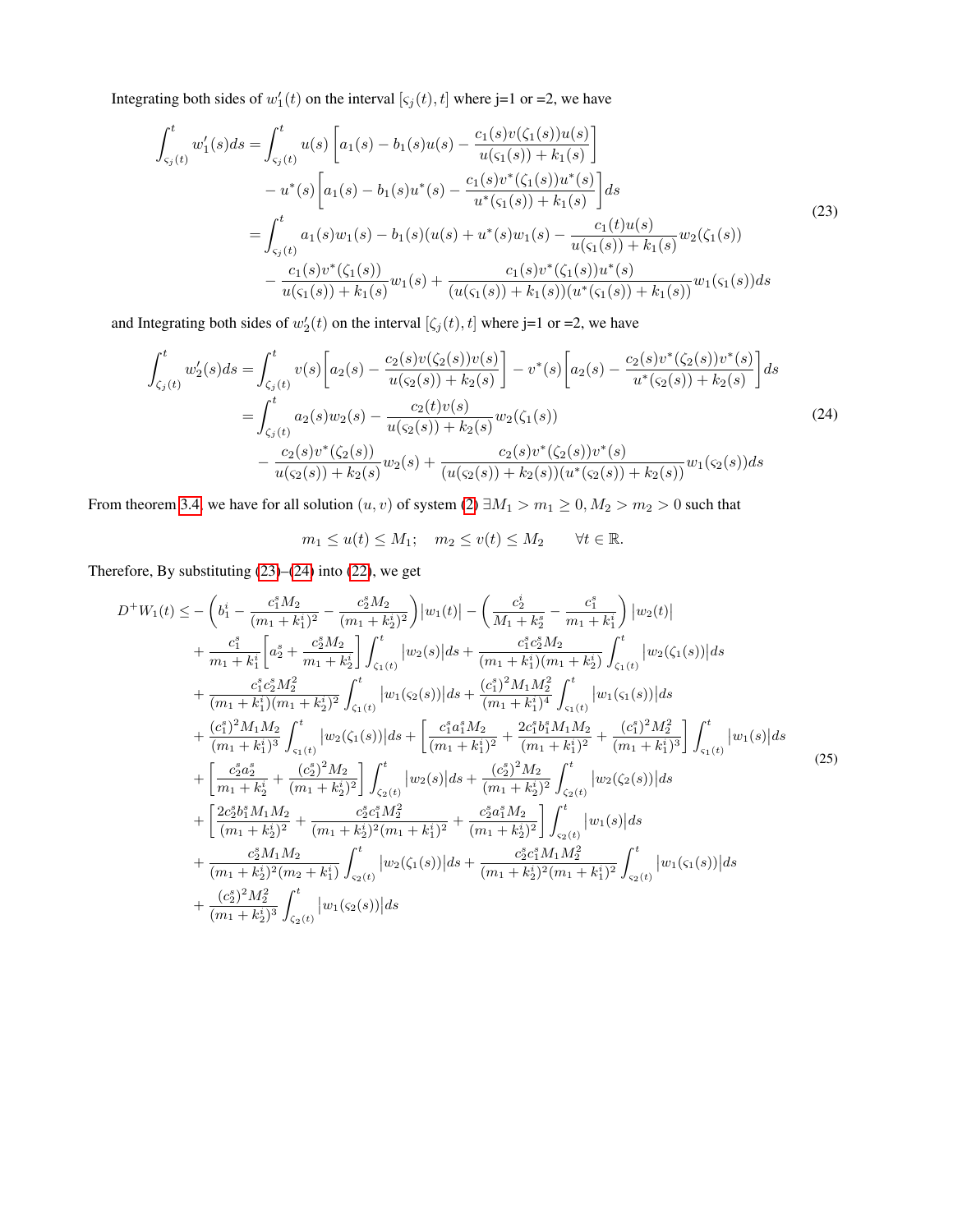Integrating both sides of  $w_1'(t)$  on the interval  $[\varsigma_j(t), t]$  where j=1 or =2, we have

<span id="page-12-0"></span>
$$
\int_{\varsigma_j(t)}^t w_1'(s)ds = \int_{\varsigma_j(t)}^t u(s) \left[ a_1(s) - b_1(s)u(s) - \frac{c_1(s)v(\zeta_1(s))u(s)}{u(\varsigma_1(s)) + k_1(s)} \right]
$$
  
\n
$$
- u^*(s) \left[ a_1(s) - b_1(s)u^*(s) - \frac{c_1(s)v^*(\zeta_1(s))u^*(s)}{u^*(\varsigma_1(s)) + k_1(s)} \right] ds
$$
  
\n
$$
= \int_{\varsigma_j(t)}^t a_1(s)w_1(s) - b_1(s)(u(s) + u^*(s)w_1(s) - \frac{c_1(t)u(s)}{u(\varsigma_1(s)) + k_1(s)} w_2(\zeta_1(s))
$$
  
\n
$$
- \frac{c_1(s)v^*(\zeta_1(s))}{u(\varsigma_1(s)) + k_1(s)} w_1(s) + \frac{c_1(s)v^*(\zeta_1(s))u^*(s)}{(u(\varsigma_1(s)) + k_1(s))(u^*(\varsigma_1(s)) + k_1(s))} w_1(\varsigma_1(s)) ds
$$
  
\n(23)

and Integrating both sides of  $w_2'(t)$  on the interval  $[\zeta_j(t), t]$  where j=1 or =2, we have

$$
\int_{\zeta_j(t)}^t w_2'(s)ds = \int_{\zeta_j(t)}^t v(s) \left[ a_2(s) - \frac{c_2(s)v(\zeta_2(s))v(s)}{u(\zeta_2(s)) + k_2(s)} \right] - v^*(s) \left[ a_2(s) - \frac{c_2(s)v^*(\zeta_2(s))v^*(s)}{u^*(\zeta_2(s)) + k_2(s)} \right] ds
$$
  
\n
$$
= \int_{\zeta_j(t)}^t a_2(s)w_2(s) - \frac{c_2(t)v(s)}{u(\zeta_2(s)) + k_2(s)} w_2(\zeta_1(s))
$$
  
\n
$$
- \frac{c_2(s)v^*(\zeta_2(s))}{u(\zeta_2(s)) + k_2(s)} w_2(s) + \frac{c_2(s)v^*(\zeta_2(s))v^*(s)}{(u(\zeta_2(s)) + k_2(s))(u^*(\zeta_2(s)) + k_2(s))} w_1(\zeta_2(s)) ds
$$
\n(24)

From theorem [3.4,](#page-2-1) we have for all solution  $(u, v)$  of system [\(2\)](#page-1-0)  $\exists M_1 > m_1 \ge 0, M_2 > m_2 > 0$  such that

<span id="page-12-2"></span><span id="page-12-1"></span>
$$
m_1 \le u(t) \le M_1;
$$
  $m_2 \le v(t) \le M_2$   $\forall t \in \mathbb{R}.$ 

Therefore, By substituting [\(23\)](#page-12-0)–[\(24\)](#page-12-1) into [\(22\)](#page-11-0), we get

$$
D^{+}W_{1}(t) \leq -\left(b_{1}^{i} - \frac{c_{1}^{s}M_{2}}{(m_{1} + k_{1}^{i})^{2}} - \frac{c_{2}^{s}M_{2}}{(m_{1} + k_{2}^{i})^{2}}\right)|w_{1}(t)| - \left(\frac{c_{2}^{i}}{M_{1} + k_{2}^{s}} - \frac{c_{1}^{s}}{m_{1} + k_{1}^{i}}\right)|w_{2}(t)| + \frac{c_{1}^{s}}{m_{1} + k_{1}^{i}}\left[a_{2}^{s} + \frac{c_{2}^{s}M_{2}}{m_{1} + k_{2}^{i}}\right] \int_{\zeta_{1}(t)}^{t} |w_{2}(s)|ds + \frac{c_{1}^{s}c_{2}^{s}M_{2}}{(m_{1} + k_{1}^{i})(m_{1} + k_{2}^{i})}\int_{\zeta_{1}(t)}^{t} |w_{2}(\zeta_{1}(s))|ds + \frac{c_{1}^{s}c_{2}^{s}M_{2}^{2}}{(m_{1} + k_{1}^{i})^{2}} \int_{\zeta_{1}(t)}^{t} |w_{1}(\zeta_{2}(s))|ds + \frac{(c_{1}^{s})^{2}M_{1}M_{2}^{2}}{(m_{1} + k_{1}^{i})^{3}} \int_{\zeta_{1}(t)}^{t} |w_{1}(\zeta_{1}(s))|ds + \frac{(c_{1}^{s})^{2}M_{1}M_{2}}{(m_{1} + k_{1}^{i})^{2}} \int_{\zeta_{1}(t)}^{t} |w_{2}(\zeta_{1}(s))|ds + \left[\frac{c_{1}^{s}a_{1}^{s}M_{2}}{(m_{1} + k_{1}^{i})^{2}} + \frac{2c_{1}^{s}b_{1}^{s}M_{1}M_{2}}{(m_{1} + k_{1}^{i})^{2}} + \frac{(c_{1}^{s})^{2}M_{2}^{2}}{(m_{1} + k_{1}^{i})^{3}}\right] \int_{\zeta_{1}(t)}^{t} |w_{1}(s)|ds + \left[\frac{c_{2}^{s}a_{2}^{s}}{m_{1} + k_{2}^{i}} + \frac{(c_{2}^{s})^{2}M_{2}}{(m_{1} + k_{2}^{i})^{2}}\right] \int_{\zeta_{2}(t)}^{t} |w_{2}(\zeta
$$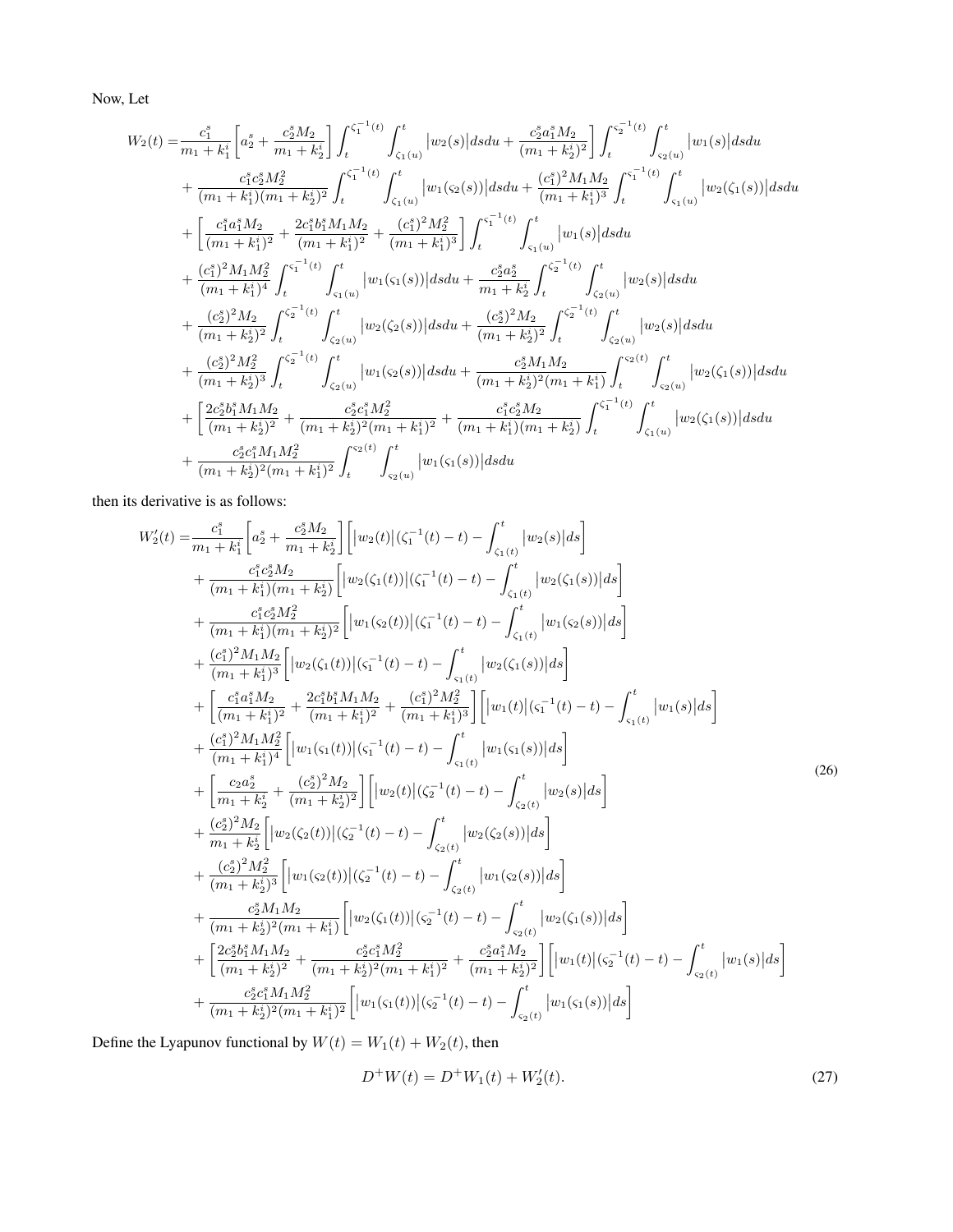Now, Let

$$
\begin{split} &W_{2}(t)=\frac{c_{1}^{s}}{m_{1}+k_{1}^{i}}\bigg[a_{2}^{s}+\frac{c_{2}^{s}M_{2}}{m_{1}+k_{2}^{i}}\bigg]\int_{t}^{\zeta_{1}^{-1}(t)}\int_{\zeta_{1}(u)}^{t}|w_{2}(s)|dsdu+\frac{c_{2}^{s}a_{1}^{s}M_{2}}{(m_{1}+k_{2}^{i})^{2}}\bigg]\int_{t}^{\zeta_{2}^{-1}(t)}\int_{\zeta_{2}(u)}^{t}|w_{1}(s)|dsdu\\ &+\frac{c_{1}^{s}c_{2}^{s}M_{2}^{2}}{(m_{1}+k_{1}^{i}) (m_{1}+k_{2}^{i})^{2}}\int_{t}^{\zeta_{1}^{-1}(t)}\int_{\zeta_{1}(u)}^{t}|w_{1}(\zeta_{2}(s))|dsdu+\frac{(c_{1}^{s})^{2}M_{1}M_{2}}{(m_{1}+k_{1}^{i})^{3}}\int_{t}^{\zeta_{1}^{-1}(t)}\int_{\zeta_{1}(u)}^{t}|w_{2}(\zeta_{1}(s))|dsdu\\ &+\bigg[\frac{c_{1}^{s}a_{1}^{s}M_{2}}{(m_{1}+k_{1}^{i})^{2}}+\frac{2c_{1}^{s}b_{1}^{s}M_{1}M_{2}}{(m_{1}+k_{1}^{i})^{2}}+\frac{(c_{1}^{s})^{2}M_{2}^{2}}{(m_{1}+k_{1}^{i})^{3}}\bigg]\int_{t}^{\zeta_{1}^{-1}(t)}\int_{\zeta_{1}(u)}^{t}|w_{1}(s)|dsdu\\ &+\frac{(c_{2}^{s})^{2}M_{1}M_{2}^{2}}{(m_{1}+k_{1}^{i})^{4}}\int_{t}^{\zeta_{2}^{-1}(t)}\int_{\zeta_{1}(u)}^{t}|w_{1}(\zeta_{1}(s))|dsdu+\frac{c_{2}^{s}a_{2}^{s}}{m_{1}+k_{2}^{i}}\int_{t}^{\zeta_{2}^{-1}(t)}\int_{\zeta_{2}(u)}^{t}|w_{2}(s)|dsdu\\ &+\frac{(c_{2}^{s})^{2}M_{2}}{(m_{1}+k_{2}^{i})^{2}}\int_{t}^{\zeta_{2}^{-1}(t)}\int_{\zeta_{2}(u)}^{
$$

then its derivative is as follows:

<span id="page-13-0"></span>
$$
W'_{2}(t) = \frac{c_{1}^{2}}{m_{1} + k_{1}^{2}} \left[ a_{2}^{2} + \frac{c_{2}^{2}M_{2}}{m_{1} + k_{2}^{2}} \right] \left[ |w_{2}(t)| (\zeta_{1}^{-1}(t) - t) - \int_{\zeta_{1}(t)}^{t} |w_{2}(s)| ds \right] + \frac{c_{1}^{2}c_{2}^{2}M_{2}}{(m_{1} + k_{1}^{2}) (m_{1} + k_{2}^{2})} \left[ |w_{2}(\zeta_{1}(t))| (\zeta_{1}^{-1}(t) - t) - \int_{\zeta_{1}(t)}^{t} |w_{2}(\zeta_{1}(s))| ds \right] + \frac{c_{1}^{2}c_{2}^{2}M_{2}^{2}}{(m_{1} + k_{1}^{2}) (m_{1} + k_{2}^{2})^{2}} \left[ |w_{1}(\zeta_{2}(t))| (\zeta_{1}^{-1}(t) - t) - \int_{\zeta_{1}(t)}^{t} |w_{1}(\zeta_{2}(s))| ds \right] + \frac{c_{1}^{2}M_{1}M_{2}}{(m_{1} + k_{1}^{2})^{2}} \left[ |w_{2}(\zeta_{1}(t))| (\zeta_{1}^{-1}(t) - t) - \int_{\zeta_{1}(t)}^{t} |w_{2}(\zeta_{1}(s))| ds \right] + \frac{c_{1}^{2}M_{1}M_{2}^{2}}{(m_{1} + k_{1}^{2})^{2}} \left[ |w_{1}(\zeta_{1}(t))| (\zeta_{1}^{-1}(t) - t) - \int_{\zeta_{1}(t)}^{t} |w_{1}(\zeta_{1}(s))| ds \right] + \frac{c_{1}^{2}M_{1}M_{2}^{2}}{(m_{1} + k_{1}^{2})^{4}} \left[ |w_{1}(\zeta_{1}(t))| (\zeta_{1}^{-1}(t) - t) - \int_{\zeta_{1}(t)}^{t} |w_{1}(\zeta_{1}(s))| ds \right] + \frac{c_{2}^{2}M_{2}}{(m_{1} + k_{1}^{2})^{4}} \left[ |w_{2}(\zeta_{1}(t))| (\zeta_{2}^{-1}(t) - t) - \int_{\zeta_{2}(t)}^{t} |w_{2}(\zeta_{2}(s))|
$$

Define the Lyapunov functional by  $W(t)=W_1(t)+W_2(t),$  then

<span id="page-13-1"></span>
$$
D^{+}W(t) = D^{+}W_{1}(t) + W_{2}'(t). \tag{27}
$$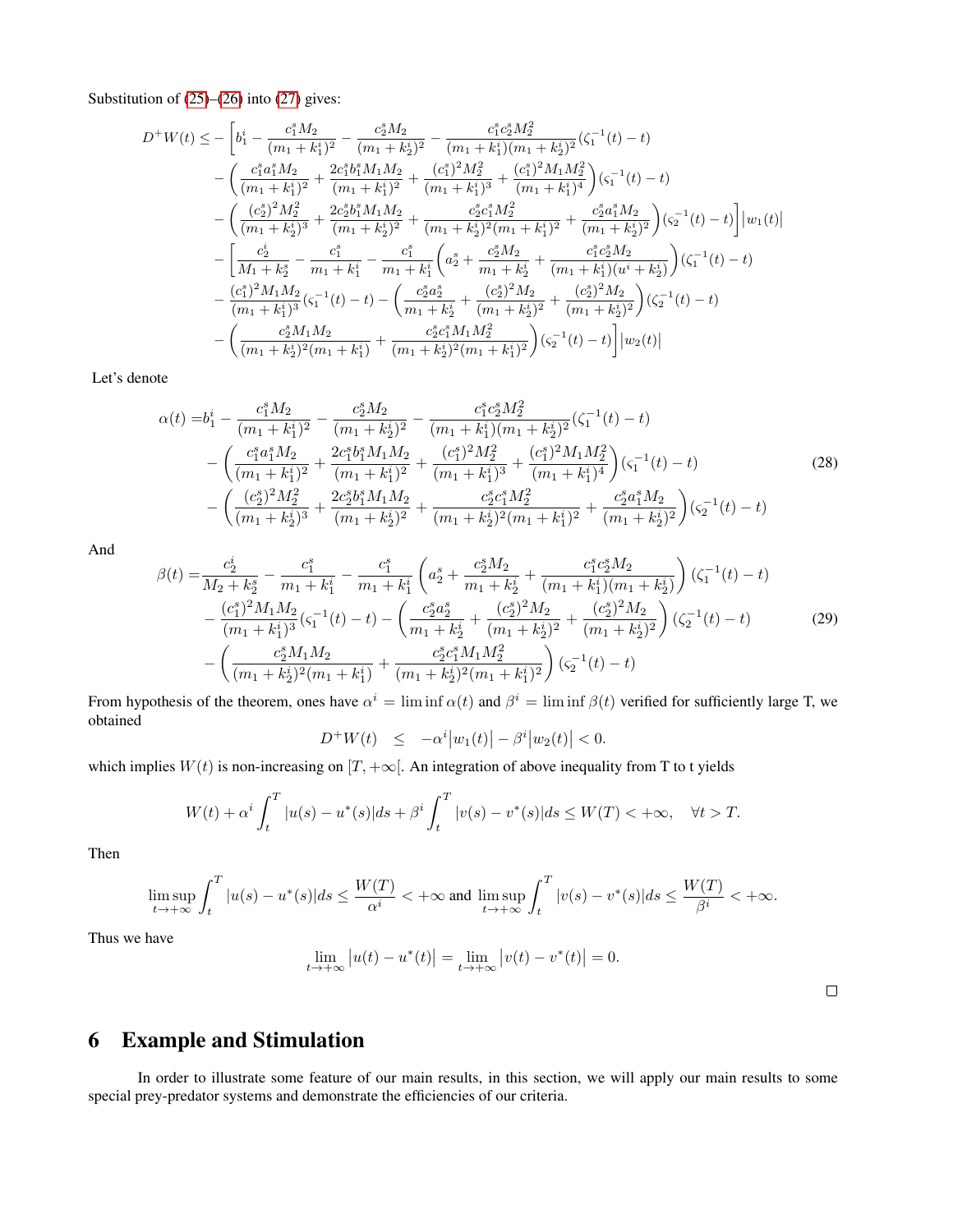Substitution of [\(25\)](#page-12-2)–[\(26\)](#page-13-0) into [\(27\)](#page-13-1) gives:

$$
D^{+}W(t) \leq -\left[b_{1}^{i} - \frac{c_{1}^{s}M_{2}}{(m_{1} + k_{1}^{i})^{2}} - \frac{c_{2}^{s}M_{2}}{(m_{1} + k_{2}^{i})^{2}} - \frac{c_{1}^{s}c_{2}^{s}M_{2}^{2}}{(m_{1} + k_{1}^{i})(m_{1} + k_{2}^{i})^{2}}(\zeta_{1}^{-1}(t) - t) - \left(\frac{c_{1}^{s}a_{1}^{s}M_{2}}{(m_{1} + k_{1}^{i})^{2}} + \frac{2c_{1}^{s}b_{1}^{s}M_{1}M_{2}}{(m_{1} + k_{1}^{i})^{3}} + \frac{(c_{1}^{s})^{2}M_{2}^{2}}{(m_{1} + k_{1}^{i})^{3}} + \frac{(c_{1}^{s})^{2}M_{1}M_{2}^{2}}{(m_{1} + k_{1}^{i})^{4}}\right)(\zeta_{1}^{-1}(t) - t) - \left(\frac{(c_{2}^{s})^{2}M_{2}^{2}}{(m_{1} + k_{2}^{i})^{3}} + \frac{2c_{2}^{s}b_{1}^{s}M_{1}M_{2}}{(m_{1} + k_{2}^{i})^{2}} + \frac{c_{2}^{s}c_{1}^{s}M_{2}^{2}}{(m_{1} + k_{2}^{i})^{2}} + \frac{c_{2}^{s}a_{1}^{s}M_{2}}{(m_{1} + k_{2}^{i})^{2}}\right)(\zeta_{2}^{-1}(t) - t)\right]|w_{1}(t)| - \left[\frac{c_{2}^{i}}{M_{1} + k_{2}^{s}} - \frac{c_{1}^{s}}{m_{1} + k_{1}^{i}} - \frac{c_{1}^{s}}{m_{1} + k_{1}^{i}}\left(a_{2}^{s} + \frac{c_{2}^{s}M_{2}}{m_{1} + k_{2}^{i}} + \frac{c_{1}^{s}c_{2}^{s}M_{2}}{(m_{1} + k_{1}^{i})(u^{i} + k_{2}^{i})}\right)(\zeta_{1}^{-1}(t) - t) - \frac{(c_{1}^{s})^{2}M_{1}M_{2}}{(m_{1} + k_{1}^{i})^{3}}(\zeta_{1}^{-1}(t) - t) - \left(\frac{c_{2}^{s}a_{2}^{s
$$

Let's denote

<span id="page-14-0"></span>
$$
\alpha(t) = b_1^i - \frac{c_1^s M_2}{(m_1 + k_1^i)^2} - \frac{c_2^s M_2}{(m_1 + k_2^i)^2} - \frac{c_1^s c_2^s M_2^2}{(m_1 + k_1^i)(m_1 + k_2^i)^2} (\zeta_1^{-1}(t) - t)
$$
  
 
$$
- \left( \frac{c_1^s a_1^s M_2}{(m_1 + k_1^i)^2} + \frac{2c_1^s b_1^s M_1 M_2}{(m_1 + k_1^i)^2} + \frac{(c_1^s)^2 M_2^2}{(m_1 + k_1^i)^3} + \frac{(c_1^s)^2 M_1 M_2^2}{(m_1 + k_1^i)^4} \right) (\zeta_1^{-1}(t) - t)
$$
  
 
$$
- \left( \frac{(c_2^s)^2 M_2^2}{(m_1 + k_2^i)^3} + \frac{2c_2^s b_1^s M_1 M_2}{(m_1 + k_2^i)^2} + \frac{c_2^s c_1^s M_2^2}{(m_1 + k_2^i)^2 (m_1 + k_1^i)^2} + \frac{c_2^s a_1^s M_2}{(m_1 + k_2^i)^2} \right) (\zeta_2^{-1}(t) - t)
$$
 (28)

<span id="page-14-1"></span>And

$$
\beta(t) = \frac{c_2^i}{M_2 + k_2^s} - \frac{c_1^s}{m_1 + k_1^i} - \frac{c_1^s}{m_1 + k_1^i} \left( a_2^s + \frac{c_2^s M_2}{m_1 + k_2^i} + \frac{c_1^s c_2^s M_2}{(m_1 + k_1^i)(m_1 + k_2^i)} \right) (\zeta_1^{-1}(t) - t)
$$
  
 
$$
- \frac{(c_1^s)^2 M_1 M_2}{(m_1 + k_1^i)^3} (\zeta_1^{-1}(t) - t) - \left( \frac{c_2^s a_2^s}{m_1 + k_2^i} + \frac{(c_2^s)^2 M_2}{(m_1 + k_2^i)^2} + \frac{(c_2^s)^2 M_2}{(m_1 + k_2^i)^2} \right) (\zeta_2^{-1}(t) - t)
$$
  
 
$$
- \left( \frac{c_2^s M_1 M_2}{(m_1 + k_2^i)^2 (m_1 + k_1^i)} + \frac{c_2^s c_1^s M_1 M_2^2}{(m_1 + k_2^i)^2 (m_1 + k_1^i)^2} \right) (\zeta_2^{-1}(t) - t)
$$
(29)

From hypothesis of the theorem, ones have  $\alpha^i = \liminf \alpha(t)$  and  $\beta^i = \liminf \beta(t)$  verified for sufficiently large T, we obtained

$$
D^+W(t) \le -\alpha^i|w_1(t)| - \beta^i|w_2(t)| < 0.
$$

which implies  $W(t)$  is non-increasing on  $[T, +\infty]$ . An integration of above inequality from T to t yields

$$
W(t) + \alpha^{i} \int_{t}^{T} |u(s) - u^{*}(s)| ds + \beta^{i} \int_{t}^{T} |v(s) - v^{*}(s)| ds \le W(T) < +\infty, \quad \forall t > T.
$$

Then

$$
\limsup_{t \to +\infty} \int_t^T |u(s) - u^*(s)| ds \le \frac{W(T)}{\alpha^i} < +\infty \text{ and } \limsup_{t \to +\infty} \int_t^T |v(s) - v^*(s)| ds \le \frac{W(T)}{\beta^i} < +\infty.
$$

Thus we have

$$
\lim_{t \to +\infty} |u(t) - u^*(t)| = \lim_{t \to +\infty} |v(t) - v^*(t)| = 0.
$$

 $\Box$ 

## 6 Example and Stimulation

In order to illustrate some feature of our main results, in this section, we will apply our main results to some special prey-predator systems and demonstrate the efficiencies of our criteria.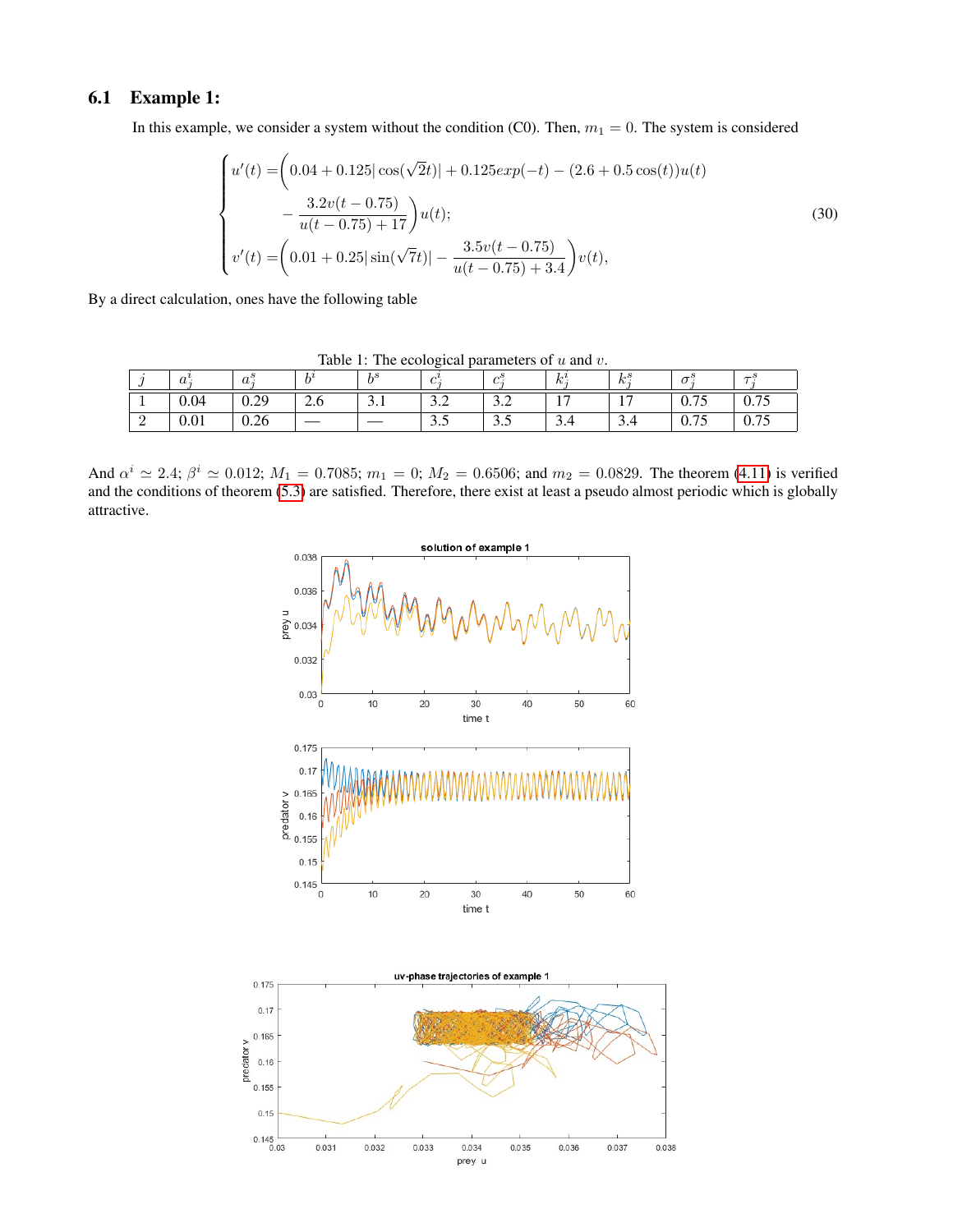## 6.1 Example 1:

In this example, we consider a system without the condition (C0). Then,  $m_1 = 0$ . The system is considered

$$
\begin{cases}\nu'(t) = \left(0.04 + 0.125|\cos(\sqrt{2}t)| + 0.125exp(-t) - (2.6 + 0.5\cos(t))u(t)\right. \\
-\frac{3.2v(t - 0.75)}{u(t - 0.75) + 17}\right)u(t); \\
v'(t) = \left(0.01 + 0.25|\sin(\sqrt{7}t)| - \frac{3.5v(t - 0.75)}{u(t - 0.75) + 3.4}\right)v(t),\n\end{cases} \tag{30}
$$

By a direct calculation, ones have the following table

 $j \mid a_i^i$  $\begin{array}{cc} i & a_j^s \\ j & a_j^s \end{array}$  $b^i$  $\overline{b^s}$  $c^i_j$  $\overline{c_j^s}$  $k^i_j$  $\overline{k_i^s}$  $\frac{s}{j}$   $\sigma_j^s$  $\overline{\tau^s_j}$  $1 \t 0.04 \t 0.29 \t 2.6 \t 3.1 \t 3.2 \t 3.2 \t 17 \t 17 \t 0.75 \t 0.75$  $2 \t 0.01 \t 0.26 \t - \t - \t 3.5 \t 3.5 \t 3.4 \t 3.4 \t 0.75 \t 0.75$ 

Table 1: The ecological parameters of  $u$  and  $v$ .

And  $\alpha^i \simeq 2.4$ ;  $\beta^i \simeq 0.012$ ;  $M_1 = 0.7085$ ;  $m_1 = 0$ ;  $M_2 = 0.6506$ ; and  $m_2 = 0.0829$ . The theorem [\(4.11\)](#page-7-1) is verified and the conditions of theorem [\(5.3\)](#page-11-1) are satisfied. Therefore, there exist at least a pseudo almost periodic which is globally attractive.



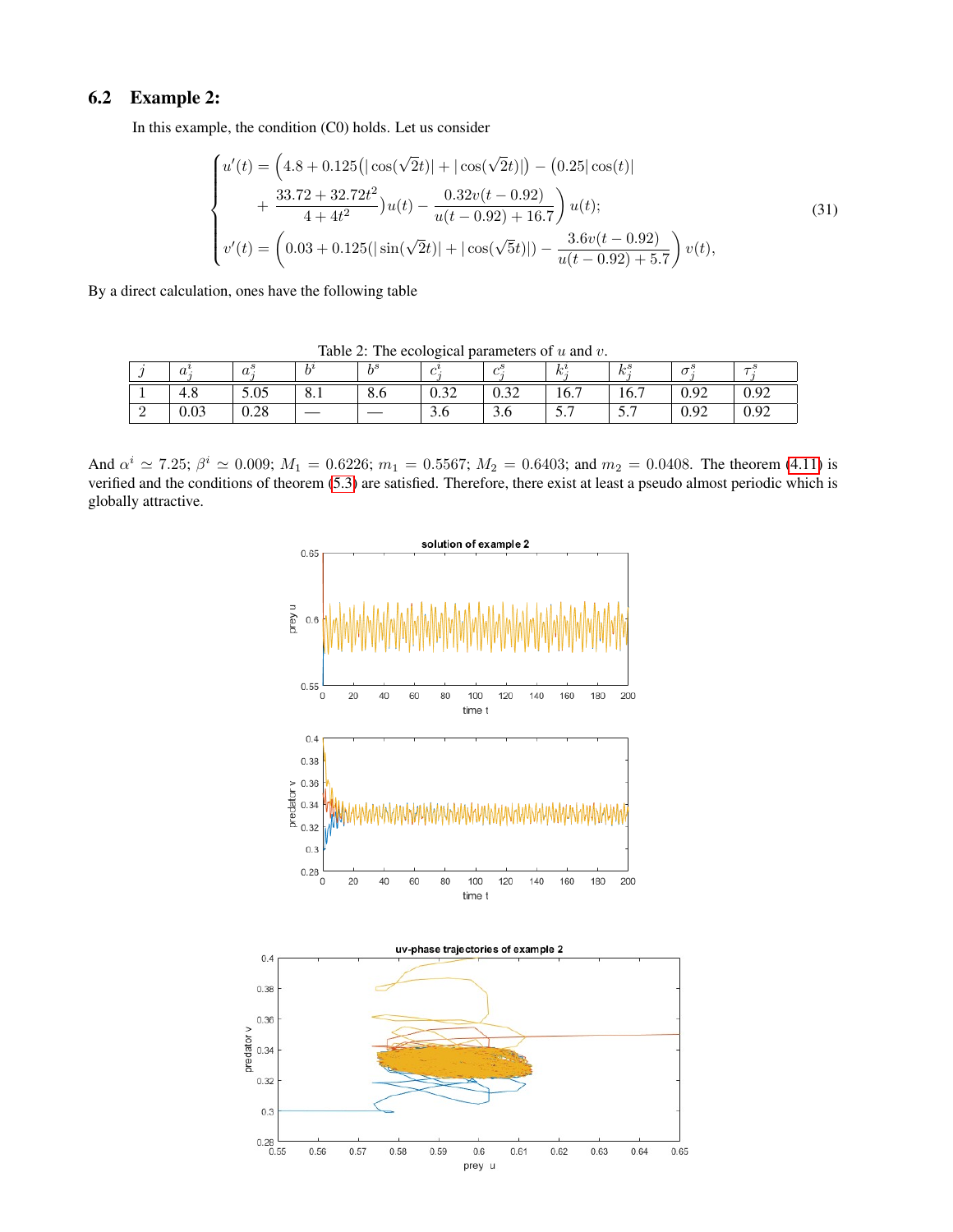## 6.2 Example 2:

In this example, the condition (C0) holds. Let us consider

$$
\begin{cases}\nu'(t) = \left(4.8 + 0.125\left(\left|\cos(\sqrt{2}t)\right| + \left|\cos(\sqrt{2}t)\right|\right) - \left(0.25\left|\cos(t)\right|\right)\right. \\
\left. + \frac{33.72 + 32.72t^2}{4 + 4t^2}\right)u(t) - \frac{0.32v(t - 0.92)}{u(t - 0.92) + 16.7}\right)u(t); \\
v'(t) = \left(0.03 + 0.125\left(\left|\sin(\sqrt{2}t)\right| + \left|\cos(\sqrt{5}t)\right|\right) - \frac{3.6v(t - 0.92)}{u(t - 0.92) + 5.7}\right)v(t),\n\end{cases} \tag{31}
$$

By a direct calculation, ones have the following table

| rable 2. The ecological parameters of $\alpha$ and $\theta$ . |            |            |     |     |                  |                       |                |            |      |      |
|---------------------------------------------------------------|------------|------------|-----|-----|------------------|-----------------------|----------------|------------|------|------|
|                                                               | $\bm{u}$ . | $\bm{u}$ . |     |     |                  |                       | $\mathbb{R}$ . | 1.5<br>rv. |      |      |
|                                                               | 4.8        | 5.05       | 0.1 | o.o | $\Omega$<br>0.32 | $\cap$ $\cap$<br>0.34 | 16.7           | 16.7       | 0.92 | 0.92 |
|                                                               | 0.03       | 0.28       |     |     | U                | J.U                   | ، ب            | ، ب        | 0.92 | 0.92 |

Table 2: The ecological parameters of u and v.

And  $\alpha^i \simeq 7.25$ ;  $\beta^i \simeq 0.009$ ;  $M_1 = 0.6226$ ;  $m_1 = 0.5567$ ;  $M_2 = 0.6403$ ; and  $m_2 = 0.0408$ . The theorem [\(4.11\)](#page-7-1) is verified and the conditions of theorem [\(5.3\)](#page-11-1) are satisfied. Therefore, there exist at least a pseudo almost periodic which is globally attractive.

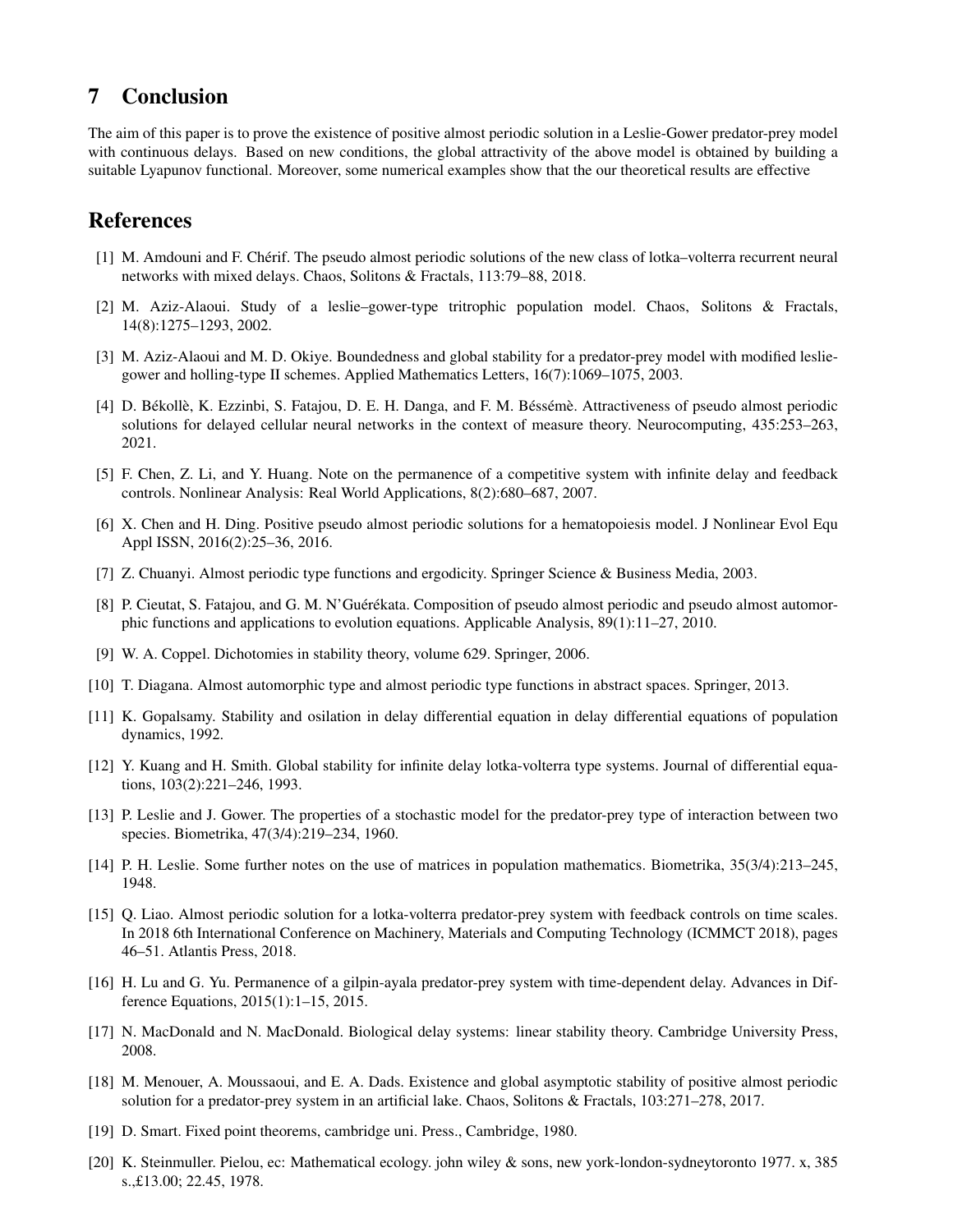## 7 Conclusion

The aim of this paper is to prove the existence of positive almost periodic solution in a Leslie-Gower predator-prey model with continuous delays. Based on new conditions, the global attractivity of the above model is obtained by building a suitable Lyapunov functional. Moreover, some numerical examples show that the our theoretical results are effective

## References

- <span id="page-17-10"></span>[1] M. Amdouni and F. Chérif. The pseudo almost periodic solutions of the new class of lotka–volterra recurrent neural networks with mixed delays. Chaos, Solitons & Fractals, 113:79–88, 2018.
- <span id="page-17-4"></span>[2] M. Aziz-Alaoui. Study of a leslie–gower-type tritrophic population model. Chaos, Solitons & Fractals, 14(8):1275–1293, 2002.
- <span id="page-17-0"></span>[3] M. Aziz-Alaoui and M. D. Okiye. Boundedness and global stability for a predator-prey model with modified lesliegower and holling-type II schemes. Applied Mathematics Letters, 16(7):1069–1075, 2003.
- <span id="page-17-11"></span>[4] D. Békollè, K. Ezzinbi, S. Fatajou, D. E. H. Danga, and F. M. Béssémè. Attractiveness of pseudo almost periodic solutions for delayed cellular neural networks in the context of measure theory. Neurocomputing, 435:253–263, 2021.
- <span id="page-17-15"></span>[5] F. Chen, Z. Li, and Y. Huang. Note on the permanence of a competitive system with infinite delay and feedback controls. Nonlinear Analysis: Real World Applications, 8(2):680–687, 2007.
- <span id="page-17-12"></span>[6] X. Chen and H. Ding. Positive pseudo almost periodic solutions for a hematopoiesis model. J Nonlinear Evol Equ Appl ISSN, 2016(2):25–36, 2016.
- <span id="page-17-13"></span>[7] Z. Chuanyi. Almost periodic type functions and ergodicity. Springer Science & Business Media, 2003.
- <span id="page-17-16"></span>[8] P. Cieutat, S. Fatajou, and G. M. N'Guérékata. Composition of pseudo almost periodic and pseudo almost automorphic functions and applications to evolution equations. Applicable Analysis, 89(1):11–27, 2010.
- <span id="page-17-17"></span>[9] W. A. Coppel. Dichotomies in stability theory, volume 629. Springer, 2006.
- <span id="page-17-19"></span>[10] T. Diagana. Almost automorphic type and almost periodic type functions in abstract spaces. Springer, 2013.
- <span id="page-17-7"></span>[11] K. Gopalsamy. Stability and osilation in delay differential equation in delay differential equations of population dynamics, 1992.
- <span id="page-17-5"></span>[12] Y. Kuang and H. Smith. Global stability for infinite delay lotka-volterra type systems. Journal of differential equations, 103(2):221–246, 1993.
- <span id="page-17-2"></span>[13] P. Leslie and J. Gower. The properties of a stochastic model for the predator-prey type of interaction between two species. Biometrika, 47(3/4):219–234, 1960.
- <span id="page-17-1"></span>[14] P. H. Leslie. Some further notes on the use of matrices in population mathematics. Biometrika, 35(3/4):213–245, 1948.
- <span id="page-17-8"></span>[15] Q. Liao. Almost periodic solution for a lotka-volterra predator-prey system with feedback controls on time scales. In 2018 6th International Conference on Machinery, Materials and Computing Technology (ICMMCT 2018), pages 46–51. Atlantis Press, 2018.
- <span id="page-17-14"></span>[16] H. Lu and G. Yu. Permanence of a gilpin-ayala predator-prey system with time-dependent delay. Advances in Difference Equations, 2015(1):1–15, 2015.
- <span id="page-17-6"></span>[17] N. MacDonald and N. MacDonald. Biological delay systems: linear stability theory. Cambridge University Press, 2008.
- <span id="page-17-9"></span>[18] M. Menouer, A. Moussaoui, and E. A. Dads. Existence and global asymptotic stability of positive almost periodic solution for a predator-prey system in an artificial lake. Chaos, Solitons & Fractals, 103:271–278, 2017.
- <span id="page-17-18"></span>[19] D. Smart. Fixed point theorems, cambridge uni. Press., Cambridge, 1980.
- <span id="page-17-3"></span>[20] K. Steinmuller. Pielou, ec: Mathematical ecology. john wiley & sons, new york-london-sydneytoronto 1977. x, 385 s.,£13.00; 22.45, 1978.